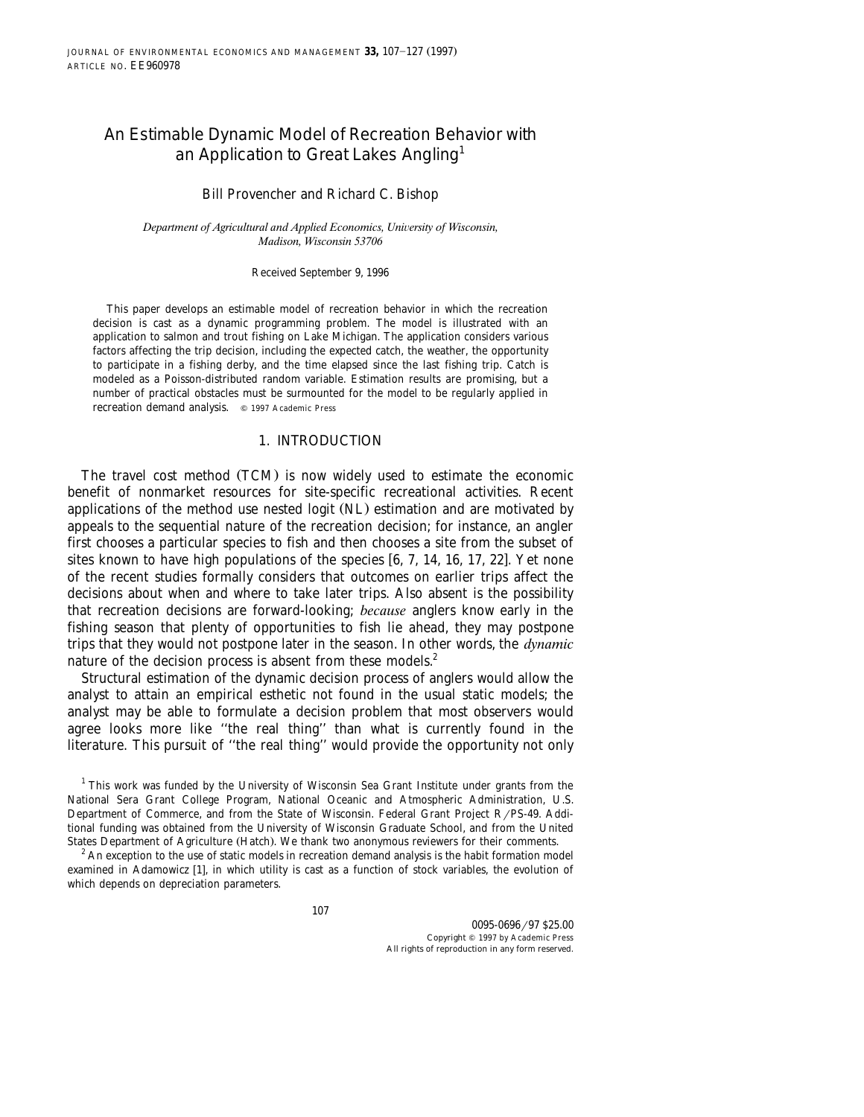# An Estimable Dynamic Model of Recreation Behavior with an Application to Great Lakes Angling<sup>1</sup>

## Bill Provencher and Richard C. Bishop

*Department of Agricultural and Applied Economics, University of Wisconsin, Madison, Wisconsin 53706*

#### Received September 9, 1996

This paper develops an estimable model of recreation behavior in which the recreation decision is cast as a dynamic programming problem. The model is illustrated with an application to salmon and trout fishing on Lake Michigan. The application considers various factors affecting the trip decision, including the expected catch, the weather, the opportunity to participate in a fishing derby, and the time elapsed since the last fishing trip. Catch is modeled as a Poisson-distributed random variable. Estimation results are promising, but a number of practical obstacles must be surmounted for the model to be regularly applied in recreation demand analysis. © 1997 Academic Press

#### 1. INTRODUCTION

The travel cost method (TCM) is now widely used to estimate the economic benefit of nonmarket resources for site-specific recreational activities. Recent applications of the method use nested logit  $(NL)$  estimation and are motivated by appeals to the sequential nature of the recreation decision; for instance, an angler first chooses a particular species to fish and then chooses a site from the subset of sites known to have high populations of the species  $[6, 7, 14, 16, 17, 22]$ . Yet none of the recent studies formally considers that outcomes on earlier trips affect the decisions about when and where to take later trips. Also absent is the possibility that recreation decisions are forward-looking; *because* anglers know early in the fishing season that plenty of opportunities to fish lie ahead, they may postpone trips that they would not postpone later in the season. In other words, the *dynamic* nature of the decision process is absent from these models.<sup>2</sup>

Structural estimation of the dynamic decision process of anglers would allow the analyst to attain an empirical esthetic not found in the usual static models; the analyst may be able to formulate a decision problem that most observers would agree looks more like ''the real thing'' than what is currently found in the literature. This pursuit of ''the real thing'' would provide the opportunity not only

<sup>&</sup>lt;sup>1</sup> This work was funded by the University of Wisconsin Sea Grant Institute under grants from the National Sera Grant College Program, National Oceanic and Atmospheric Administration, U.S. Department of Commerce, and from the State of Wisconsin. Federal Grant Project  $R/PS-49$ . Additional funding was obtained from the University of Wisconsin Graduate School, and from the United States Department of Agriculture (Hatch). We thank two anonymous reviewers for their comments.<br><sup>2</sup> An exception to the use of static models in recreation demand analysis is the habit formation model

examined in Adamowicz [1], in which utility is cast as a function of stock variables, the evolution of which depends on depreciation parameters.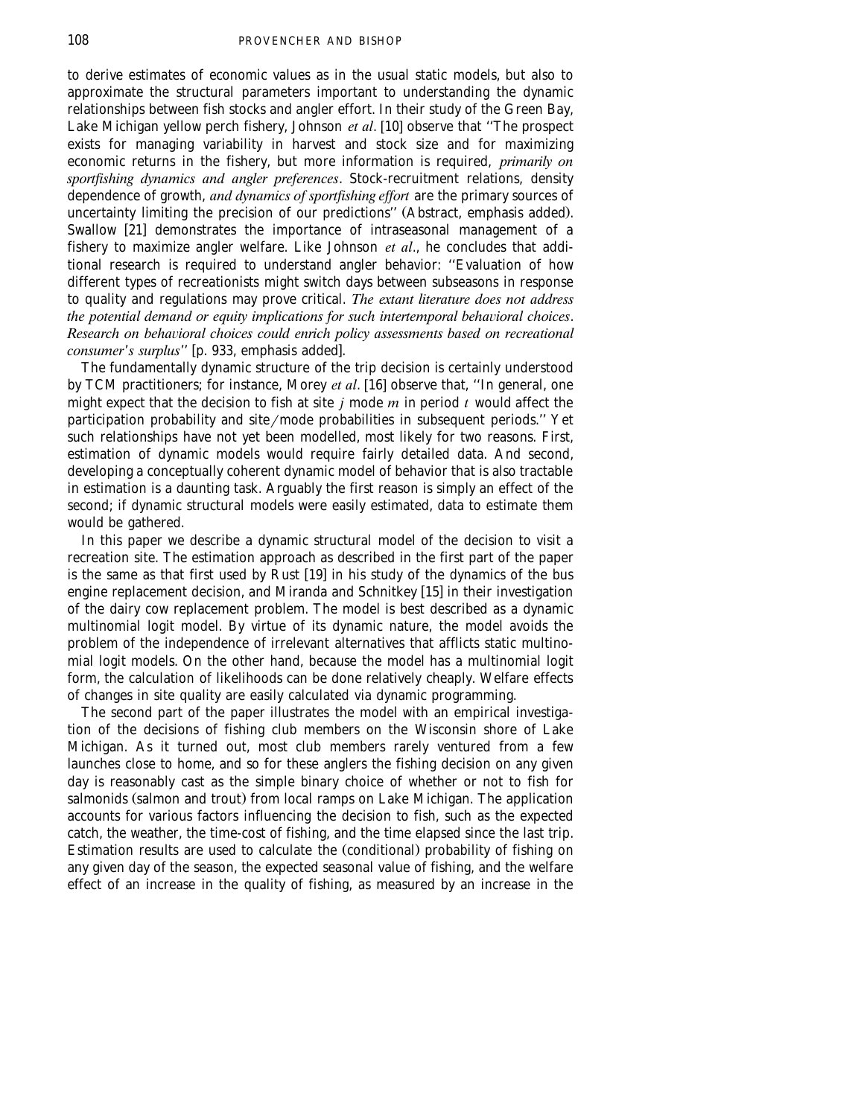to derive estimates of economic values as in the usual static models, but also to approximate the structural parameters important to understanding the dynamic relationships between fish stocks and angler effort. In their study of the Green Bay, Lake Michigan yellow perch fishery, Johnson *et al.* [10] observe that "The prospect exists for managing variability in harvest and stock size and for maximizing economic returns in the fishery, but more information is required, *primarily on sportfishing dynamics and angler preferences*. Stock-recruitment relations, density dependence of growth, *and dynamics of sportfishing effort* are the primary sources of uncertainty limiting the precision of our predictions" (Abstract, emphasis added). Swallow  $\left[21\right]$  demonstrates the importance of intraseasonal management of a fishery to maximize angler welfare. Like Johnson *et al*., he concludes that additional research is required to understand angler behavior: ''Evaluation of how different types of recreationists might switch days between subseasons in response to quality and regulations may prove critical. *The extant literature does not address the potential demand or equity implications for such intertemporal behavioral choices. Research on beha*¨*ioral choices could enrich policy assessments based on recreational consumer's surplus*" [p. 933, emphasis added].

The fundamentally dynamic structure of the trip decision is certainly understood by TCM practitioners; for instance, Morey *et al.* [16] observe that, "In general, one might expect that the decision to fish at site  $j$  mode  $m$  in period  $t$  would affect the participation probability and site/mode probabilities in subsequent periods." Yet such relationships have not yet been modelled, most likely for two reasons. First, estimation of dynamic models would require fairly detailed data. And second, developing a conceptually coherent dynamic model of behavior that is also tractable in estimation is a daunting task. Arguably the first reason is simply an effect of the second; if dynamic structural models were easily estimated, data to estimate them would be gathered.

In this paper we describe a dynamic structural model of the decision to visit a recreation site. The estimation approach as described in the first part of the paper is the same as that first used by Rust  $[19]$  in his study of the dynamics of the bus engine replacement decision, and Miranda and Schnitkey  $[15]$  in their investigation of the dairy cow replacement problem. The model is best described as a dynamic multinomial logit model. By virtue of its dynamic nature, the model avoids the problem of the independence of irrelevant alternatives that afflicts static multinomial logit models. On the other hand, because the model has a multinomial logit form, the calculation of likelihoods can be done relatively cheaply. Welfare effects of changes in site quality are easily calculated via dynamic programming.

The second part of the paper illustrates the model with an empirical investigation of the decisions of fishing club members on the Wisconsin shore of Lake Michigan. As it turned out, most club members rarely ventured from a few launches close to home, and so for these anglers the fishing decision on any given day is reasonably cast as the simple binary choice of whether or not to fish for salmonids (salmon and trout) from local ramps on Lake Michigan. The application accounts for various factors influencing the decision to fish, such as the expected catch, the weather, the time-cost of fishing, and the time elapsed since the last trip. Estimation results are used to calculate the (conditional) probability of fishing on any given day of the season, the expected seasonal value of fishing, and the welfare effect of an increase in the quality of fishing, as measured by an increase in the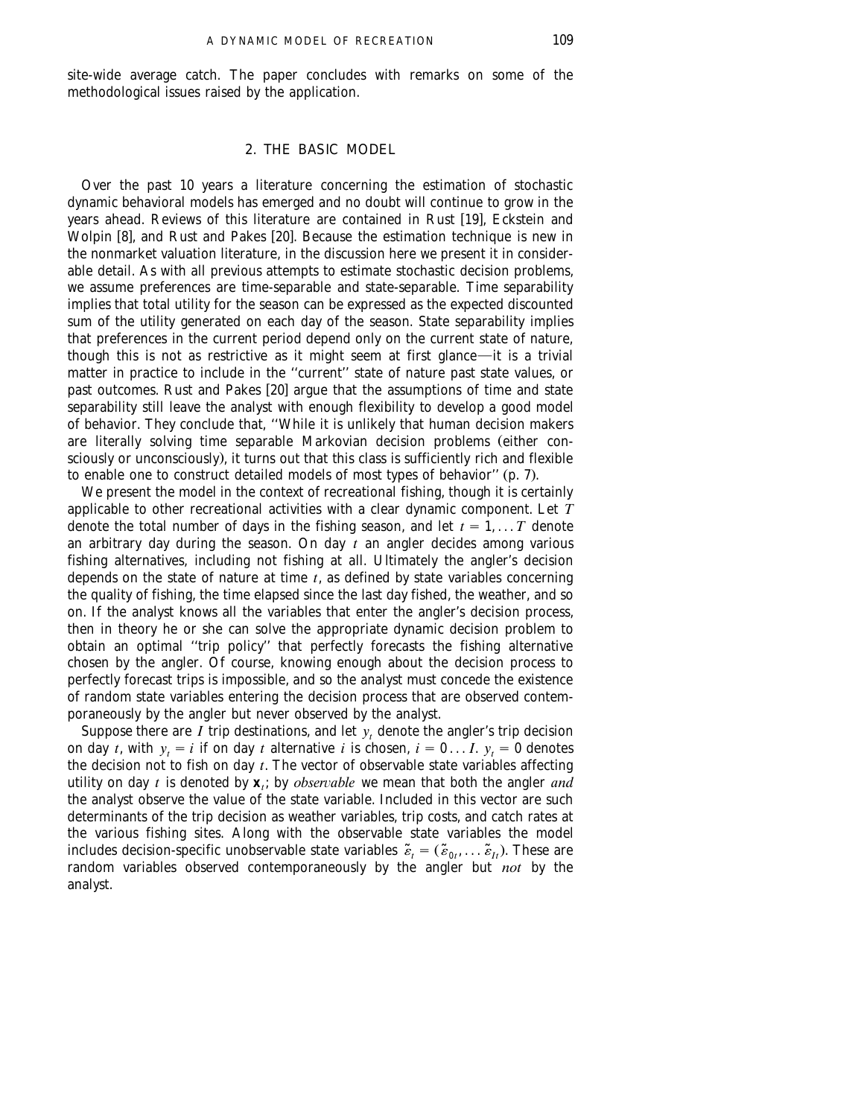site-wide average catch. The paper concludes with remarks on some of the methodological issues raised by the application.

# 2. THE BASIC MODEL

Over the past 10 years a literature concerning the estimation of stochastic dynamic behavioral models has emerged and no doubt will continue to grow in the years ahead. Reviews of this literature are contained in Rust [19], Eckstein and Wolpin [8], and Rust and Pakes [20]. Because the estimation technique is new in the nonmarket valuation literature, in the discussion here we present it in considerable detail. As with all previous attempts to estimate stochastic decision problems, we assume preferences are time-separable and state-separable. Time separability implies that total utility for the season can be expressed as the expected discounted sum of the utility generated on each day of the season. State separability implies that preferences in the current period depend only on the current state of nature, though this is not as restrictive as it might seem at first glance—it is a trivial matter in practice to include in the ''current'' state of nature past state values, or past outcomes. Rust and Pakes [20] argue that the assumptions of time and state separability still leave the analyst with enough flexibility to develop a good model of behavior. They conclude that, ''While it is unlikely that human decision makers are literally solving time separable Markovian decision problems (either consciously or unconsciously), it turns out that this class is sufficiently rich and flexible to enable one to construct detailed models of most types of behavior" (p. 7).

We present the model in the context of recreational fishing, though it is certainly applicable to other recreational activities with a clear dynamic component. Let *T* denote the total number of days in the fishing season, and let  $t = 1, \ldots, T$  denote an arbitrary day during the season. On day  $t$  an angler decides among various fishing alternatives, including not fishing at all. Ultimately the angler's decision depends on the state of nature at time *t*, as defined by state variables concerning the quality of fishing, the time elapsed since the last day fished, the weather, and so on. If the analyst knows all the variables that enter the angler's decision process, then in theory he or she can solve the appropriate dynamic decision problem to obtain an optimal ''trip policy'' that perfectly forecasts the fishing alternative chosen by the angler. Of course, knowing enough about the decision process to perfectly forecast trips is impossible, and so the analyst must concede the existence of random state variables entering the decision process that are observed contemporaneously by the angler but never observed by the analyst.

Suppose there are  $\overline{I}$  trip destinations, and let  $y_t$ , denote the angler's trip decision on day *t*, with  $y_t = i$  if on day *t* alternative *i* is chosen,  $i = 0...I$ .  $y_t = 0$  denotes the decision not to fish on day *t*. The vector of observable state variables affecting utility on day *t* is denoted by  $\mathbf{x}$ ; by *observable* we mean that both the angler *and* the analyst observe the value of the state variable. Included in this vector are such determinants of the trip decision as weather variables, trip costs, and catch rates at the various fishing sites. Along with the observable state variables the model includes decision-specific unobservable state variables  $\tilde{\varepsilon}_t = (\tilde{\varepsilon}_{0t}, \dots, \tilde{\varepsilon}_{t}$ . These are random variables observed contemporaneously by the angler but *not* by the analyst.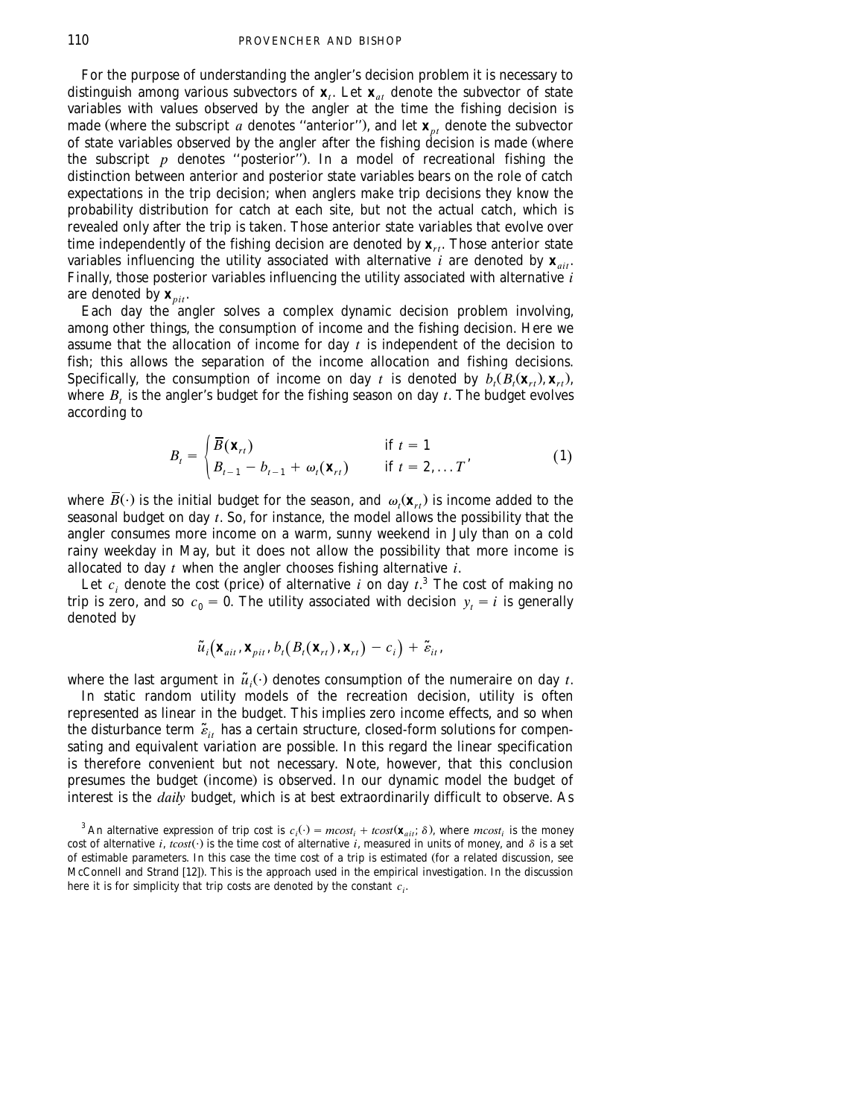For the purpose of understanding the angler's decision problem it is necessary to distinguish among various subvectors of  $\mathbf{x}_i$ . Let  $\mathbf{x}_{at}$  denote the subvector of state variables with values observed by the angler at the time the fishing decision is made (where the subscript *a* denotes "anterior"), and let  $\mathbf{x}_{nt}$  denote the subvector of state variables observed by the angler after the fishing decision is made (where the subscript  $p$  denotes "posterior"). In a model of recreational fishing the distinction between anterior and posterior state variables bears on the role of catch expectations in the trip decision; when anglers make trip decisions they know the probability distribution for catch at each site, but not the actual catch, which is revealed only after the trip is taken. Those anterior state variables that evolve over time independently of the fishing decision are denoted by  $\mathbf{x}_{rt}$ . Those anterior state variables influencing the utility associated with alternative  $\hat{i}$  are denoted by  $\mathbf{x}_{air}$ . Finally, those posterior variables influencing the utility associated with alternative *i* are denoted by  $\mathbf{x}_{nit}$ .

Each day the angler solves a complex dynamic decision problem involving, among other things, the consumption of income and the fishing decision. Here we assume that the allocation of income for day *t* is independent of the decision to fish; this allows the separation of the income allocation and fishing decisions. Specifically, the consumption of income on day *t* is denoted by  $b_t(B_t(\mathbf{x}_{rt}), \mathbf{x}_{rt})$ . where  $B_t$  is the angler's budget for the fishing season on day  $t$ . The budget evolves according to

$$
B_t = \begin{cases} \overline{B}(\mathbf{x}_{rt}) & \text{if } t = 1 \\ B_{t-1} - b_{t-1} + \omega_t(\mathbf{x}_{rt}) & \text{if } t = 2, \dots T \end{cases} \tag{1}
$$

where  $\overline{B}(\cdot)$  is the initial budget for the season, and  $\omega_r(\mathbf{x}_{rt})$  is income added to the seasonal budget on day *t*. So, for instance, the model allows the possibility that the angler consumes more income on a warm, sunny weekend in July than on a cold rainy weekday in May, but it does not allow the possibility that more income is allocated to day *t* when the angler chooses fishing alternative *i*.

Let  $c_i$  denote the cost (price) of alternative *i* on day  $t^3$ . The cost of making no trip is zero, and so  $c_0 = 0$ . The utility associated with decision  $y_t = i$  is generally denoted by

$$
\tilde{u}_i(\mathbf{x}_{ait}, \mathbf{x}_{pit}, b_t(B_t(\mathbf{x}_{rt}), \mathbf{x}_{rt}) - c_i) + \tilde{\varepsilon}_{it},
$$

where the last argument in  $\tilde{u}_i(\cdot)$  denotes consumption of the numeraire on day *t*.

In static random utility models of the recreation decision, utility is often represented as linear in the budget. This implies zero income effects, and so when the disturbance term  $\tilde{\varepsilon}_{it}$  has a certain structure, closed-form solutions for compensating and equivalent variation are possible. In this regard the linear specification is therefore convenient but not necessary. Note, however, that this conclusion presumes the budget (income) is observed. In our dynamic model the budget of interest is the *daily* budget, which is at best extraordinarily difficult to observe. As

<sup>&</sup>lt;sup>3</sup> An alternative expression of trip cost is  $c_i(\cdot) = mcost_i + tcost(\mathbf{x}_{ai}; \delta)$ , where  $mcost_i$  is the money cost of alternative *i*,  $t\cos(t \cdot)$  is the time cost of alternative *i*, measured in units of money, and  $\delta$  is a set of estimable parameters. In this case the time cost of a trip is estimated (for a related discussion, see McConnell and Strand [12]). This is the approach used in the empirical investigation. In the discussion here it is for simplicity that trip costs are denoted by the constant  $c_i$ .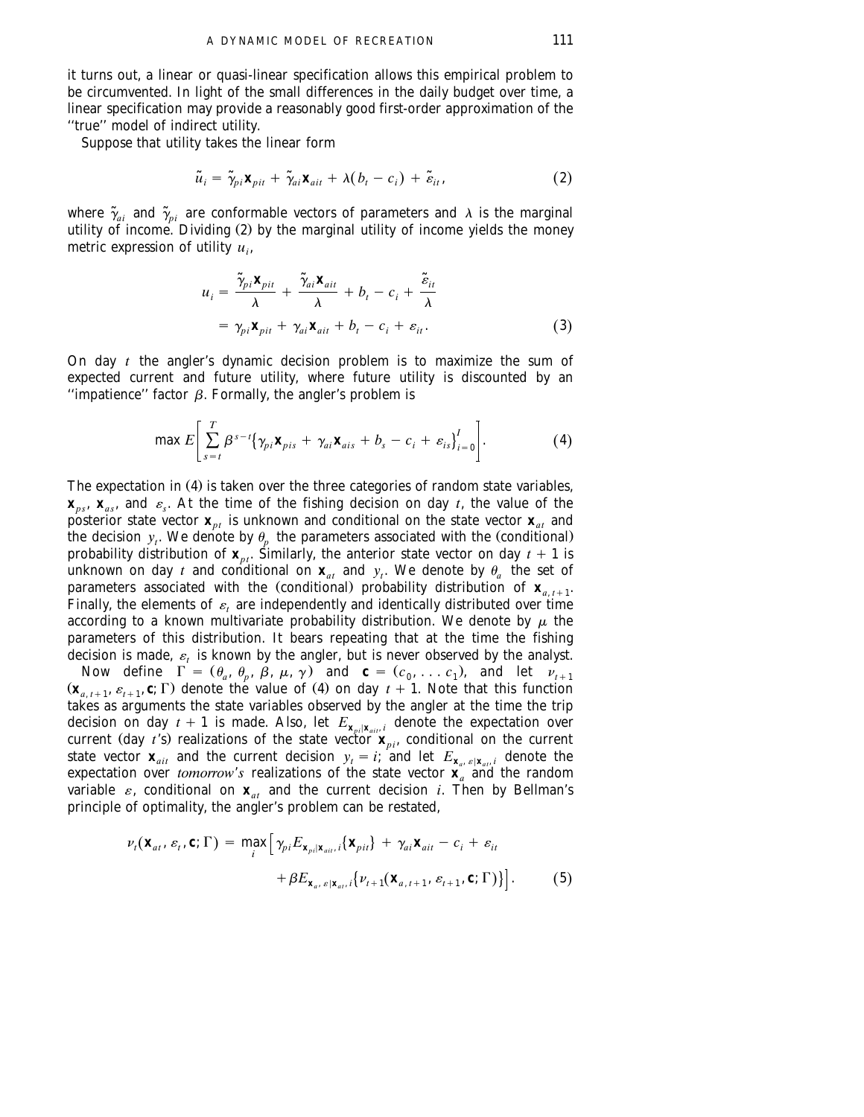it turns out, a linear or quasi-linear specification allows this empirical problem to be circumvented. In light of the small differences in the daily budget over time, a linear specification may provide a reasonably good first-order approximation of the ''true'' model of indirect utility.

Suppose that utility takes the linear form

$$
\tilde{u}_i = \tilde{\gamma}_{pi} \mathbf{x}_{pit} + \tilde{\gamma}_{ai} \mathbf{x}_{ait} + \lambda (b_t - c_i) + \tilde{\varepsilon}_{it},
$$
\n(2)

where  $\tilde{\gamma}_{ai}$  and  $\tilde{\gamma}_{pi}$  are conformable vectors of parameters and  $\lambda$  is the marginal utility of income. Dividing (2) by the marginal utility of income yields the money metric expression of utility  $u_i$ ,

$$
u_{i} = \frac{\tilde{\gamma}_{pi}\mathbf{x}_{pit}}{\lambda} + \frac{\tilde{\gamma}_{ai}\mathbf{x}_{ait}}{\lambda} + b_{t} - c_{i} + \frac{\tilde{\varepsilon}_{it}}{\lambda}
$$

$$
= \gamma_{pi}\mathbf{x}_{pit} + \gamma_{ai}\mathbf{x}_{ait} + b_{t} - c_{i} + \varepsilon_{it}.
$$
(3)

On day *t* the angler's dynamic decision problem is to maximize the sum of expected current and future utility, where future utility is discounted by an "impatience" factor  $\beta$ . Formally, the angler's problem is

$$
\max E\left[\sum_{s=t}^{T} \beta^{s-t} \left\{\gamma_{pi} \mathbf{x}_{pis} + \gamma_{ai} \mathbf{x}_{ais} + b_s - c_i + \varepsilon_{is}\right\}_{i=0}^{T}\right].
$$
 (4)

The expectation in  $(4)$  is taken over the three categories of random state variables,  $\mathbf{x}_{ps}$ ,  $\mathbf{x}_{as}$ , and  $\varepsilon_s$ . At the time of the fishing decision on day *t*, the value of the posterior state vector  $\mathbf{x}_{pt}$  is unknown and conditional on the state vector  $\mathbf{x}_{at}$  and the decision  $y_t$ . We denote by  $\theta_p$  the parameters associated with the (conditional) probability distribution of  $\mathbf{x}_{pt}$ . Similarly, the anterior state vector on day  $t + 1$  is unknown on day *t* and conditional on  $\mathbf{x}_{at}$  and  $y_t$ . We denote by  $\theta_a$  the set of parameters associated with the (conditional) probability distribution of  $\mathbf{x}_{a,t+1}$ . Finally, the elements of  $\varepsilon_t$  are independently and identically distributed over time according to a known multivariate probability distribution. We denote by  $\mu$  the parameters of this distribution. It bears repeating that at the time the fishing

decision is made,  $\varepsilon_t$  is known by the angler, but is never observed by the analyst.<br>*Now* define  $\Gamma = (\theta_a, \theta_n, \beta, \mu, \gamma)$  and  $\mathbf{c} = (c_0, \dots, c_1)$ , and let  $\nu_{t+1}$ Now define  $\Gamma = (\theta_a, \theta_p, \beta, \mu, \gamma)$  and  $\mathbf{c} = (c_0, \ldots, c_1)$ , and let  $(\mathbf{x}_{a,t+1}, \varepsilon_{t+1}, \mathbf{c}; \Gamma)$  denote the value of (4) on day  $t+1$ . Note that this function takes as arguments the state variables observed by the angler at the time the trip decision on day  $t + 1$  is made. Also, let  $E_{\mathbf{x}_{n}, \mathbf{x}_{n}, i}$  denote the expectation over current (day *t*'s) realizations of the state vector  $\mathbf{x}_{pi}$ , conditional on the current state vector  $\mathbf{x}_{ait}$  and the current decision  $y_t = i$ ; and let  $E_{\mathbf{x}_a, \varepsilon | \mathbf{x}_{at} i}$  denote the expectation over *tomorrow*'s realizations of the state vector  $\mathbf{x}_a$  and the random variable  $\varepsilon$ , conditional on  $\mathbf{x}_{at}$  and the current decision *i*. Then by Bellman's principle of optimality, the angler's problem can be restated,

$$
\nu_{t}(\mathbf{x}_{at}, \varepsilon_{t}, \mathbf{c}; \Gamma) = \max_{i} \left[ \gamma_{pi} E_{\mathbf{x}_{pi}|\mathbf{x}_{air}, i} \{\mathbf{x}_{pit}\} + \gamma_{ai}\mathbf{x}_{ait} - c_{i} + \varepsilon_{it} + \beta E_{\mathbf{x}_{a}, \varepsilon|\mathbf{x}_{atr}, i} \{\nu_{t+1}(\mathbf{x}_{a, t+1}, \varepsilon_{t+1}, \mathbf{c}; \Gamma)\} \right].
$$
 (5)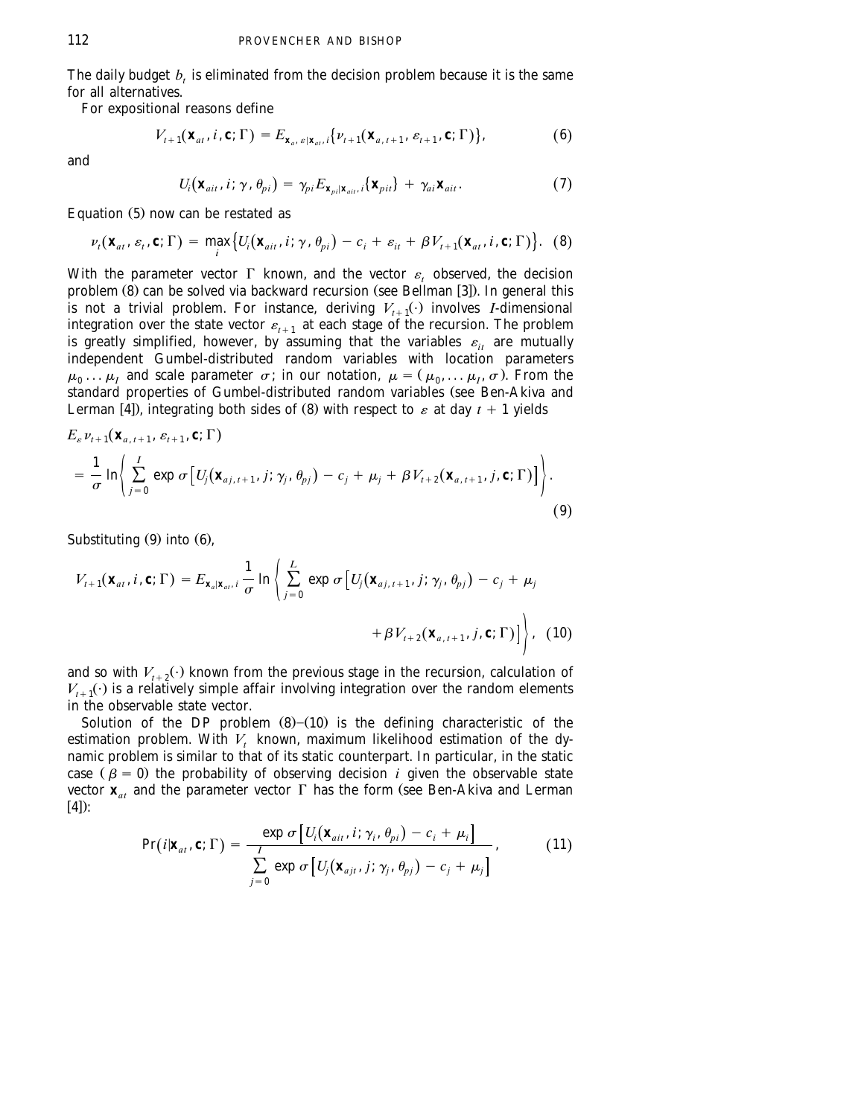The daily budget  $b_t$  is eliminated from the decision problem because it is the same for all alternatives.

For expositional reasons define

$$
V_{t+1}(\mathbf{x}_{at}, i, \mathbf{c}; \Gamma) = E_{\mathbf{x}_a, \varepsilon | \mathbf{x}_{at}, i} \{ \nu_{t+1}(\mathbf{x}_{a, t+1}, \varepsilon_{t+1}, \mathbf{c}; \Gamma) \},
$$
(6)

and

$$
U_i(\mathbf{x}_{ait}, i; \gamma, \theta_{pi}) = \gamma_{pi} E_{\mathbf{x}_{pi}|\mathbf{x}_{ait}, i} \{\mathbf{x}_{pit}\} + \gamma_{ai} \mathbf{x}_{ait}.
$$
 (7)

Equation  $(5)$  now can be restated as

$$
\nu_t(\mathbf{x}_{at}, \varepsilon_t, \mathbf{c}; \Gamma) = \max_i \big\{ U_i(\mathbf{x}_{ait}, i; \gamma, \theta_{pi}) - c_i + \varepsilon_{it} + \beta V_{t+1}(\mathbf{x}_{at}, i, \mathbf{c}; \Gamma) \big\}.
$$
 (8)

With the parameter vector  $\Gamma$  known, and the vector  $\varepsilon_t$  observed, the decision problem  $(8)$  can be solved via backward recursion (see Bellman  $[3]$ ). In general this is not a trivial problem. For instance, deriving  $V_{t+1}(\cdot)$  involves *I*-dimensional integration over the state vector  $\varepsilon_{t+1}$  at each stage of the recursion. The problem is greatly simplified, however, by assuming that the variables  $\mathcal{E}_{it}$  are mutually independent Gumbel-distributed random variables with location parameters  $\mu_0 \dots \mu_r$  and scale parameter  $\sigma$ ; in our notation,  $\mu = (\mu_0, \dots \mu_r, \sigma)$ . From the standard properties of Gumbel-distributed random variables (see Ben-Akiva and Lerman [4]), integrating both sides of (8) with respect to  $\varepsilon$  at day  $t + 1$  yields

$$
E_{\varepsilon} \nu_{t+1}(\mathbf{x}_{a,t+1}, \varepsilon_{t+1}, \mathbf{c}; \Gamma)
$$
  
=  $\frac{1}{\sigma} \ln \left\{ \sum_{j=0}^{I} \exp \sigma \left[ U_j(\mathbf{x}_{aj,t+1}, j; \gamma_j, \theta_{pj}) - c_j + \mu_j + \beta V_{t+2}(\mathbf{x}_{a,t+1}, j, \mathbf{c}; \Gamma) \right] \right\}.$  (9)

Substituting  $(9)$  into  $(6)$ ,

$$
V_{t+1}(\mathbf{x}_{at}, i, \mathbf{c}; \Gamma) = E_{\mathbf{x}_{a}|\mathbf{x}_{at}, i} \frac{1}{\sigma} \ln \left\{ \sum_{j=0}^{L} \exp \sigma \left[ U_j(\mathbf{x}_{aj, t+1}, j; \gamma_j, \theta_{pj}) - c_j + \mu_j \right. \\ \left. + \beta V_{t+2}(\mathbf{x}_{a, t+1}, j, \mathbf{c}; \Gamma) \right] \right\}, \tag{10}
$$

and so with  $V_{t+2}(\cdot)$  known from the previous stage in the recursion, calculation of  $V_{t+1}(\cdot)$  is a relatively simple affair involving integration over the random elements in the observable state vector.

Solution of the DP problem  $(8)-(10)$  is the defining characteristic of the estimation problem. With  $V_t$  known, maximum likelihood estimation of the dynamic problem is similar to that of its static counterpart. In particular, in the static case  $(\hat{\beta} = 0)$  the probability of observing decision *i* given the observable state vector  $\mathbf{x}_{at}$  and the parameter vector  $\Gamma$  has the form (see Ben-Akiva and Lerman  $[4]$ :

$$
Pr(i|\mathbf{x}_{at}, \mathbf{c}; \Gamma) = \frac{\exp \sigma [U_i(\mathbf{x}_{ait}, i; \gamma_i, \theta_{pi}) - c_i + \mu_i]}{\sum\limits_{j=0}^{I} \exp \sigma [U_j(\mathbf{x}_{ajt}, j; \gamma_j, \theta_{pj}) - c_j + \mu_j]},
$$
(11)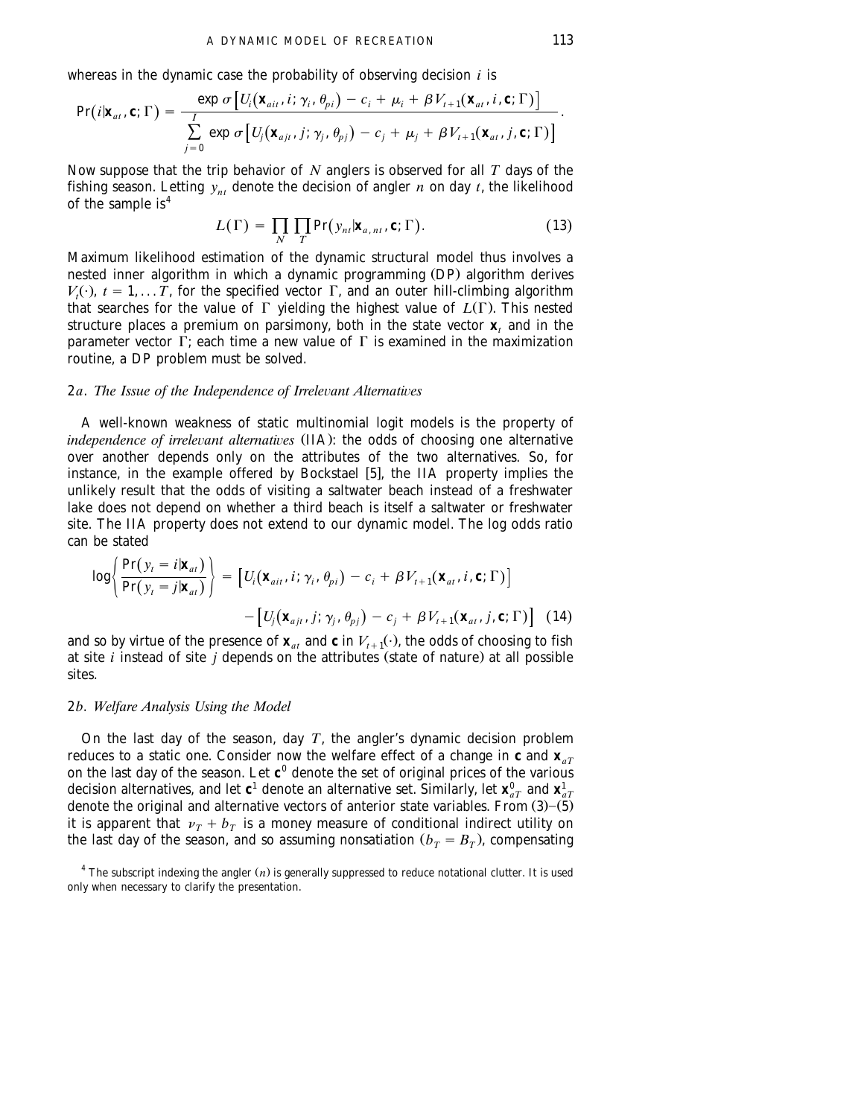whereas in the dynamic case the probability of observing decision *i* is

$$
Pr(i|\mathbf{x}_{at}, \mathbf{c}; \Gamma) = \frac{\exp \sigma [U_i(\mathbf{x}_{ait}, i; \gamma_i, \theta_{pi}) - c_i + \mu_i + \beta V_{t+1}(\mathbf{x}_{at}, i, \mathbf{c}; \Gamma)]}{\sum\limits_{j=0}^{I} \exp \sigma [U_j(\mathbf{x}_{ajt}, j; \gamma_j, \theta_{pj}) - c_j + \mu_j + \beta V_{t+1}(\mathbf{x}_{at}, j, \mathbf{c}; \Gamma)]}.
$$

Now suppose that the trip behavior of *N* anglers is observed for all *T* days of the fishing season. Letting  $y_{nt}$  denote the decision of angler *n* on day *t*, the likelihood of the sample is<sup>4</sup>

$$
L(\Gamma) = \prod_{N} \prod_{T} \Pr(y_{nt} | \mathbf{x}_{a, nt}, \mathbf{c}; \Gamma).
$$
 (13)

Maximum likelihood estimation of the dynamic structural model thus involves a nested inner algorithm in which a dynamic programming (DP) algorithm derives  $V_t(\cdot)$ ,  $t = 1, \dots, T$ , for the specified vector  $\Gamma$ , and an outer hill-climbing algorithm that searches for the value of  $\Gamma$  yielding the highest value of  $L(\Gamma)$ . This nested structure places a premium on parsimony, both in the state vector **x**, and in the parameter vector  $\Gamma$ ; each time a new value of  $\Gamma$  is examined in the maximization routine, a DP problem must be solved.

#### 2a. The Issue of the Independence of Irrelevant Alternatives

A well-known weakness of static multinomial logit models is the property of *independence of irrelevant alternatives* (IIA): the odds of choosing one alternative over another depends only on the attributes of the two alternatives. So, for instance, in the example offered by Bockstael [5], the IIA property implies the unlikely result that the odds of visiting a saltwater beach instead of a freshwater lake does not depend on whether a third beach is itself a saltwater or freshwater site. The IIA property does not extend to our dynamic model. The log odds ratio can be stated

$$
\log \left\{ \frac{\Pr(y_t = i | \mathbf{x}_{at})}{\Pr(y_t = j | \mathbf{x}_{at})} \right\} = \left[ U_i(\mathbf{x}_{air}, i; \gamma_i, \theta_{pi}) - c_i + \beta V_{t+1}(\mathbf{x}_{at}, i, \mathbf{c}; \Gamma) \right]
$$

$$
- \left[ U_j(\mathbf{x}_{ajt}, j; \gamma_j, \theta_{pj}) - c_j + \beta V_{t+1}(\mathbf{x}_{at}, j, \mathbf{c}; \Gamma) \right] \tag{14}
$$

and so by virtue of the presence of  $\mathbf{x}_{at}$  and  $\mathbf{c}$  in  $V_{t+1}(\cdot)$ , the odds of choosing to fish at site  $i$  instead of site  $j$  depends on the attributes (state of nature) at all possible sites.

## 2*b*. *Welfare Analysis Using the Model*

On the last day of the season, day *T*, the angler's dynamic decision problem reduces to a static one. Consider now the welfare effect of a change in  $\mathbf{c}$  and  $\mathbf{x}_{aT}$ on the last day of the season. Let  $\mathbf{c}^0$  denote the set of original prices of the various decision alternatives, and let  $\mathbf{c}^1$  denote an alternative set. Similarly, let  $\mathbf{x}_{aT}^0$  and  $\mathbf{x}_{aT}^1$ denote the original and alternative vectors of anterior state variables. From  $(3)-(5)$ it is apparent that  $v_T + b_T$  is a money measure of conditional indirect utility on the last day of the season, and so assuming nonsatiation  $(b_T = B_T)$ , compensating

 $<sup>4</sup>$  The subscript indexing the angler  $(n)$  is generally suppressed to reduce notational clutter. It is used</sup> only when necessary to clarify the presentation.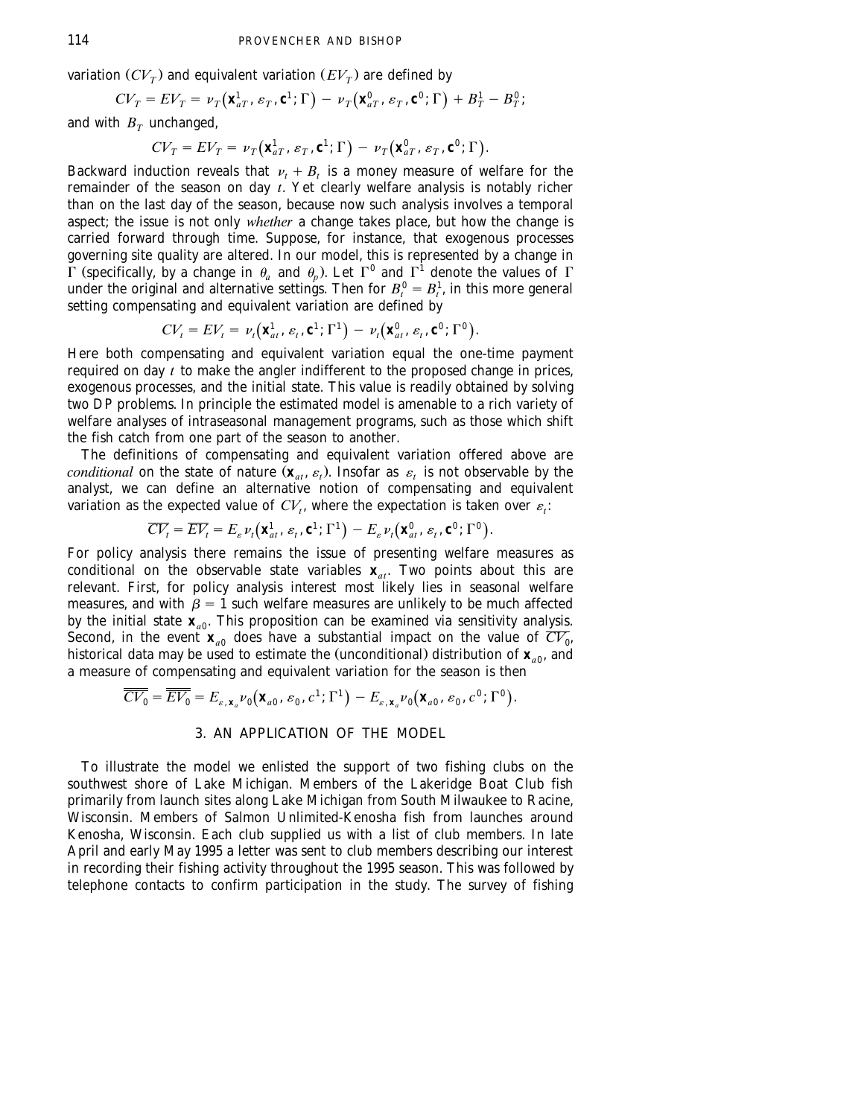variation  $(CV_T)$  and equivalent variation  $(EV_T)$  are defined by

$$
CV_T = EV_T = v_T(\mathbf{x}_{aT}^1, \varepsilon_T, \mathbf{c}^1; \Gamma) - v_T(\mathbf{x}_{aT}^0, \varepsilon_T, \mathbf{c}^0; \Gamma) + B_T^1 - B_T^0;
$$

and with  $B<sub>T</sub>$  unchanged,

$$
CV_T = EV_T = v_T(\mathbf{x}_{aT}^1, \varepsilon_T, \mathbf{c}^1; \Gamma) - v_T(\mathbf{x}_{aT}^0, \varepsilon_T, \mathbf{c}^0; \Gamma).
$$

Backward induction reveals that  $v_t + B_t$  is a money measure of welfare for the remainder of the season on day *t*. Yet clearly welfare analysis is notably richer than on the last day of the season, because now such analysis involves a temporal aspect; the issue is not only *whether* a change takes place, but how the change is carried forward through time. Suppose, for instance, that exogenous processes governing site quality are altered. In our model, this is represented by a change in  $\Gamma$  (specifically, by a change in  $\theta_a$  and  $\theta_p$ ). Let  $\Gamma^0$  and  $\Gamma^1$  denote the values of  $\Gamma$ under the original and alternative settings. Then for  $B_t^0 = B_t^1$ , in this more general setting compensating and equivalent variation are defined by

$$
CVt = EVt = \nut(\mathbf{x}^1_{at}, \varepsilon_t, \mathbf{c}^1; \Gamma^1) - \nu_t(\mathbf{x}^0_{at}, \varepsilon_t, \mathbf{c}^0; \Gamma^0).
$$

Here both compensating and equivalent variation equal the one-time payment required on day  $\vec{t}$  to make the angler indifferent to the proposed change in prices, exogenous processes, and the initial state. This value is readily obtained by solving two DP problems. In principle the estimated model is amenable to a rich variety of welfare analyses of intraseasonal management programs, such as those which shift the fish catch from one part of the season to another.

The definitions of compensating and equivalent variation offered above are *conditional* on the state of nature  $(\mathbf{x}_{at}, \varepsilon_t)$ . Insofar as  $\varepsilon_t$  is not observable by the analyst, we can define an alternative notion of compensating and equivalent variation as the expected value of  $CV_t$ , where the expectation is taken over  $\varepsilon_t$ .

$$
\overline{CV}_t = \overline{EV}_t = E_{\varepsilon} \nu_t(\mathbf{x}_{at}^1, \varepsilon_t, \mathbf{c}^1; \Gamma^1) - E_{\varepsilon} \nu_t(\mathbf{x}_{at}^0, \varepsilon_t, \mathbf{c}^0; \Gamma^0).
$$

For policy analysis there remains the issue of presenting welfare measures as conditional on the observable state variables  $\mathbf{x}_{at}$ . Two points about this are relevant. First, for policy analysis interest most likely lies in seasonal welfare measures, and with  $\beta = 1$  such welfare measures are unlikely to be much affected by the initial state  $\mathbf{x}_{a0}$ . This proposition can be examined via sensitivity analysis. Second, in the event  $\mathbf{x}_{a0}$  does have a substantial impact on the value of  $\overline{CV}_0$ , historical data may be used to estimate the (unconditional) distribution of  $\mathbf{x}_{a0}$ , and a measure of compensating and equivalent variation for the season is then

$$
\overline{CV_0} = \overline{EV_0} = E_{\varepsilon, \mathbf{x}_a} \nu_0(\mathbf{x}_{a0}, \varepsilon_0, c^1; \Gamma^1) - E_{\varepsilon, \mathbf{x}_a} \nu_0(\mathbf{x}_{a0}, \varepsilon_0, c^0; \Gamma^0).
$$
  
3. AN APPLICATION OF THE MODEL

To illustrate the model we enlisted the support of two fishing clubs on the southwest shore of Lake Michigan. Members of the Lakeridge Boat Club fish primarily from launch sites along Lake Michigan from South Milwaukee to Racine, Wisconsin. Members of Salmon Unlimited-Kenosha fish from launches around Kenosha, Wisconsin. Each club supplied us with a list of club members. In late April and early May 1995 a letter was sent to club members describing our interest in recording their fishing activity throughout the 1995 season. This was followed by telephone contacts to confirm participation in the study. The survey of fishing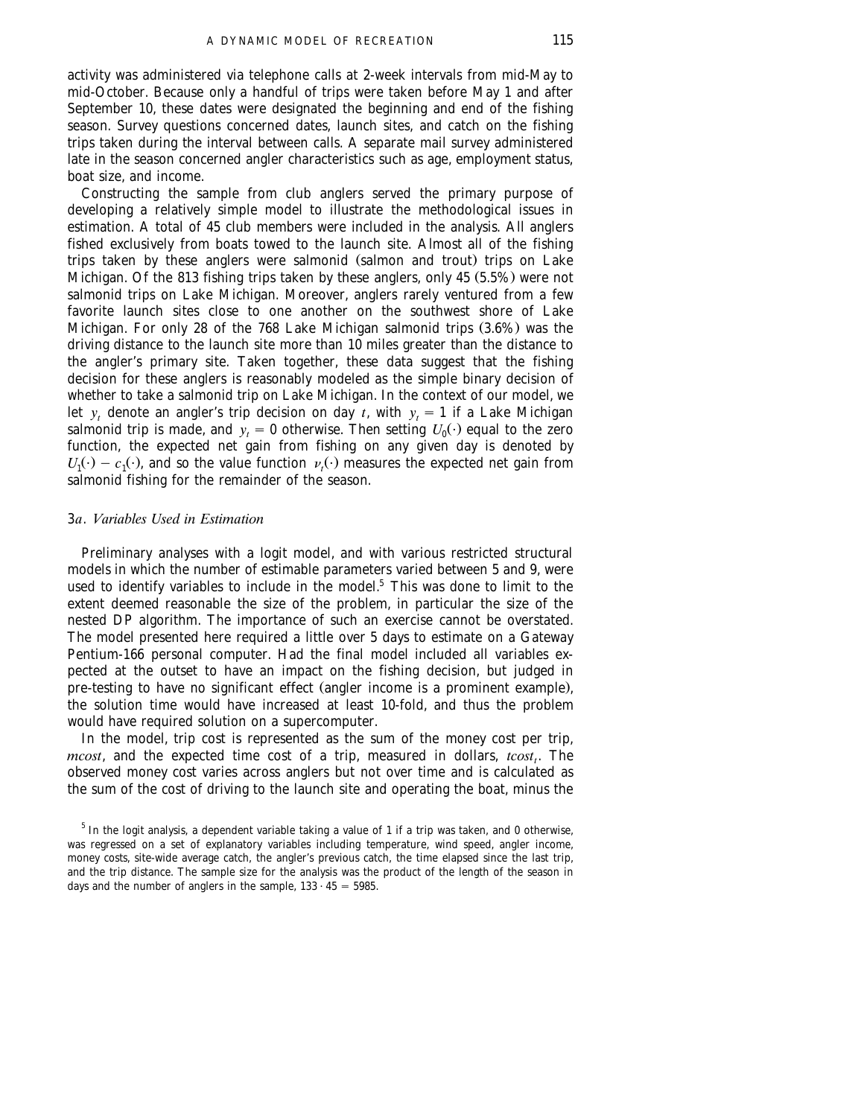activity was administered via telephone calls at 2-week intervals from mid-May to mid-October. Because only a handful of trips were taken before May 1 and after September 10, these dates were designated the beginning and end of the fishing season. Survey questions concerned dates, launch sites, and catch on the fishing trips taken during the interval between calls. A separate mail survey administered late in the season concerned angler characteristics such as age, employment status, boat size, and income.

Constructing the sample from club anglers served the primary purpose of developing a relatively simple model to illustrate the methodological issues in estimation. A total of 45 club members were included in the analysis. All anglers fished exclusively from boats towed to the launch site. Almost all of the fishing trips taken by these anglers were salmonid (salmon and trout) trips on Lake Michigan. Of the 813 fishing trips taken by these anglers, only 45  $(5.5\%)$  were not salmonid trips on Lake Michigan. Moreover, anglers rarely ventured from a few favorite launch sites close to one another on the southwest shore of Lake Michigan. For only 28 of the 768 Lake Michigan salmonid trips  $(3.6\%)$  was the driving distance to the launch site more than 10 miles greater than the distance to the angler's primary site. Taken together, these data suggest that the fishing decision for these anglers is reasonably modeled as the simple binary decision of whether to take a salmonid trip on Lake Michigan. In the context of our model, we let  $y_t$  denote an angler's trip decision on day *t*, with  $y_t = 1$  if a Lake Michigan salmonid trip is made, and  $y_t = 0$  otherwise. Then setting  $U_0(\cdot)$  equal to the zero function, the expected net gain from fishing on any given day is denoted by  $U_1(\cdot) - c_1(\cdot)$ , and so the value function  $\nu_i(\cdot)$  measures the expected net gain from salmonid fishing for the remainder of the season.

## 3*a*. *Variables Used in Estimation*

Preliminary analyses with a logit model, and with various restricted structural models in which the number of estimable parameters varied between 5 and 9, were used to identify variables to include in the model.<sup>5</sup> This was done to limit to the extent deemed reasonable the size of the problem, in particular the size of the nested DP algorithm. The importance of such an exercise cannot be overstated. The model presented here required a little over 5 days to estimate on a Gateway Pentium-166 personal computer. Had the final model included all variables expected at the outset to have an impact on the fishing decision, but judged in pre-testing to have no significant effect (angler income is a prominent example). the solution time would have increased at least 10-fold, and thus the problem would have required solution on a supercomputer.

In the model, trip cost is represented as the sum of the money cost per trip, *mcost*, and the expected time cost of a trip, measured in dollars, *tcost*.. The observed money cost varies across anglers but not over time and is calculated as the sum of the cost of driving to the launch site and operating the boat, minus the

 $<sup>5</sup>$  In the logit analysis, a dependent variable taking a value of 1 if a trip was taken, and 0 otherwise,</sup> was regressed on a set of explanatory variables including temperature, wind speed, angler income, money costs, site-wide average catch, the angler's previous catch, the time elapsed since the last trip, and the trip distance. The sample size for the analysis was the product of the length of the season in days and the number of anglers in the sample,  $133 \cdot 45 = 5985$ .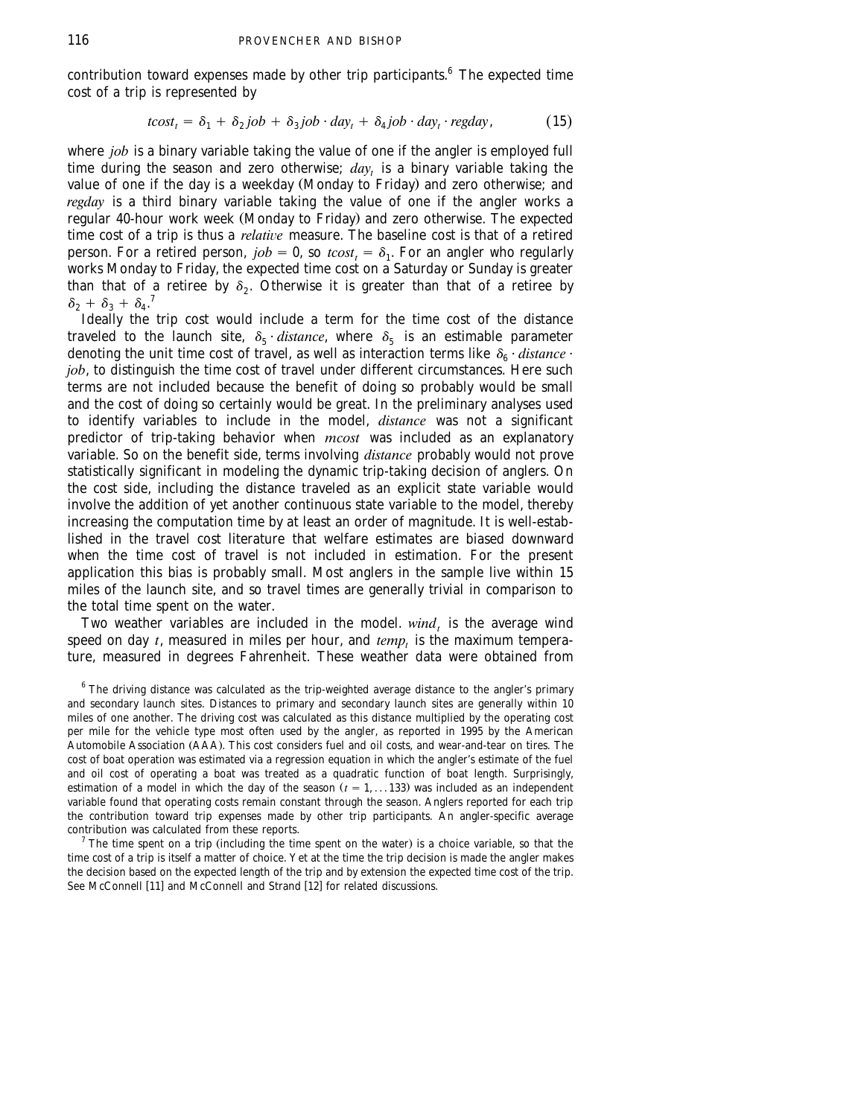contribution toward expenses made by other trip participants. $6$  The expected time cost of a trip is represented by

$$
t\cos t_t = \delta_1 + \delta_2 \, job + \delta_3 \, job \cdot day_t + \delta_4 \, job \cdot day_t \cdot regday,\tag{15}
$$

where *job* is a binary variable taking the value of one if the angler is employed full time during the season and zero otherwise;  $day_t$  is a binary variable taking the value of one if the day is a weekday (Monday to Friday) and zero otherwise; and *regday* is a third binary variable taking the value of one if the angler works a regular 40-hour work week (Monday to Friday) and zero otherwise. The expected time cost of a trip is thus a *relative* measure. The baseline cost is that of a retired person. For a retired person,  $job = 0$ , so  $tcost_t = \delta_1$ . For an angler who regularly works Monday to Friday, the expected time cost on a Saturday or Sunday is greater than that of a retiree by  $\delta_2$ . Otherwise it is greater than that of a retiree by  $\delta_2$  +  $\delta_3$  +  $\delta_4$ .<sup>7</sup>

Ideally the trip cost would include a term for the time cost of the distance traveled to the launch site,  $\delta_5 \cdot distance$ , where  $\delta_5$  is an estimable parameter denoting the unit time cost of travel, as well as interaction terms like  $\delta_{\beta} \cdot distance \cdot$ *job*, to distinguish the time cost of travel under different circumstances. Here such terms are not included because the benefit of doing so probably would be small and the cost of doing so certainly would be great. In the preliminary analyses used to identify variables to include in the model, *distance* was not a significant predictor of trip-taking behavior when *mcost* was included as an explanatory variable. So on the benefit side, terms involving *distance* probably would not prove statistically significant in modeling the dynamic trip-taking decision of anglers. On the cost side, including the distance traveled as an explicit state variable would involve the addition of yet another continuous state variable to the model, thereby increasing the computation time by at least an order of magnitude. It is well-established in the travel cost literature that welfare estimates are biased downward when the time cost of travel is not included in estimation. For the present application this bias is probably small. Most anglers in the sample live within 15 miles of the launch site, and so travel times are generally trivial in comparison to the total time spent on the water.

Two weather variables are included in the model. *wind*, is the average wind speed on day *t*, measured in miles per hour, and *temp*, is the maximum temperature, measured in degrees Fahrenheit. These weather data were obtained from

 $6$  The driving distance was calculated as the trip-weighted average distance to the angler's primary and secondary launch sites. Distances to primary and secondary launch sites are generally within 10 miles of one another. The driving cost was calculated as this distance multiplied by the operating cost per mile for the vehicle type most often used by the angler, as reported in 1995 by the American Automobile Association (AAA). This cost considers fuel and oil costs, and wear-and-tear on tires. The cost of boat operation was estimated via a regression equation in which the angler's estimate of the fuel and oil cost of operating a boat was treated as a quadratic function of boat length. Surprisingly, estimation of a model in which the day of the season  $(t = 1, \ldots, 133)$  was included as an independent variable found that operating costs remain constant through the season. Anglers reported for each trip the contribution toward trip expenses made by other trip participants. An angler-specific average contribution was calculated from these reports.<br><sup>7</sup> The time spent on a trip (including the time spent on the water) is a choice variable, so that the

time cost of a trip is itself a matter of choice. Yet at the time the trip decision is made the angler makes the decision based on the expected length of the trip and by extension the expected time cost of the trip. See McConnell [11] and McConnell and Strand [12] for related discussions.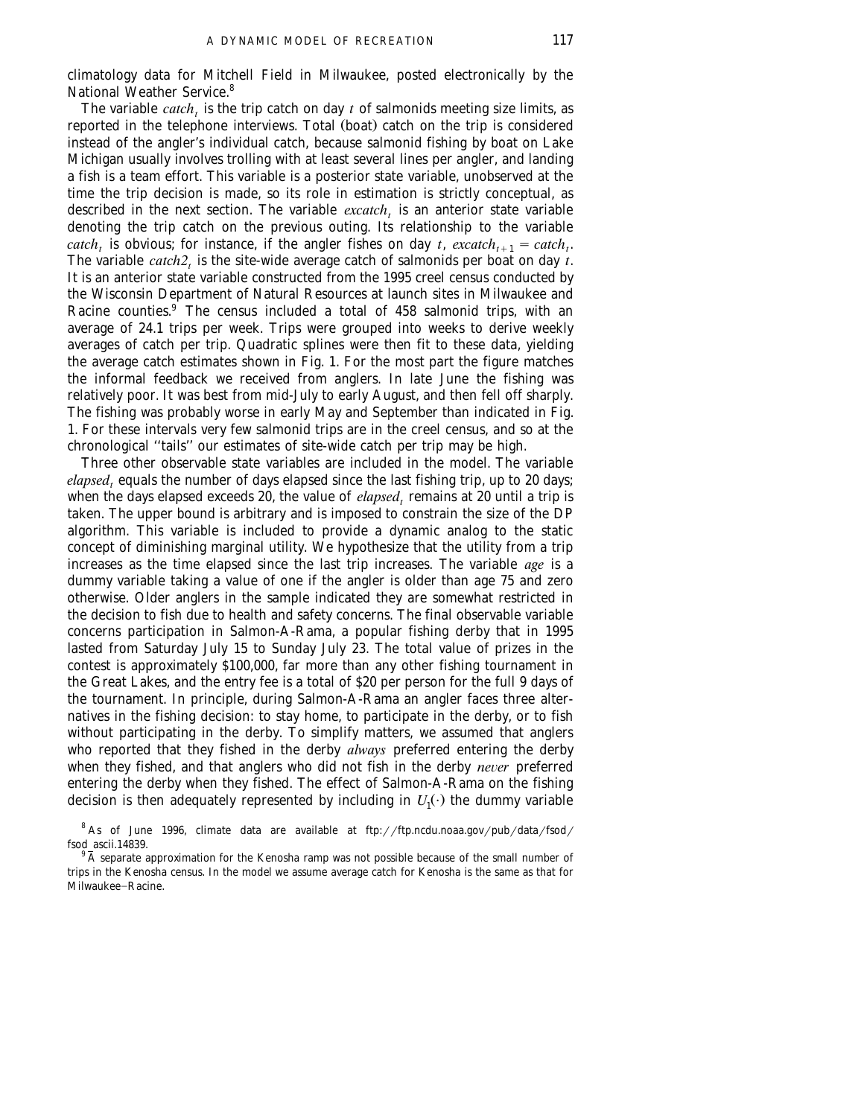climatology data for Mitchell Field in Milwaukee, posted electronically by the National Weather Service.<sup>8</sup>

The variable *catch*, is the trip catch on day *t* of salmonids meeting size limits, as reported in the telephone interviews. Total (boat) catch on the trip is considered instead of the angler's individual catch, because salmonid fishing by boat on Lake Michigan usually involves trolling with at least several lines per angler, and landing a fish is a team effort. This variable is a posterior state variable, unobserved at the time the trip decision is made, so its role in estimation is strictly conceptual, as described in the next section. The variable *excatch*, is an anterior state variable denoting the trip catch on the previous outing. Its relationship to the variable *catch*, is obvious; for instance, if the angler fishes on day *t*, *excatch*<sub>t+1</sub> = *catch*<sub>t</sub>. The variable *catch2*, is the site-wide average catch of salmonids per boat on day  $\dot{t}$ . It is an anterior state variable constructed from the 1995 creel census conducted by the Wisconsin Department of Natural Resources at launch sites in Milwaukee and Racine counties.<sup>9</sup> The census included a total of 458 salmonid trips, with an average of 24.1 trips per week. Trips were grouped into weeks to derive weekly averages of catch per trip. Quadratic splines were then fit to these data, yielding the average catch estimates shown in Fig. 1. For the most part the figure matches the informal feedback we received from anglers. In late June the fishing was relatively poor. It was best from mid-July to early August, and then fell off sharply. The fishing was probably worse in early May and September than indicated in Fig. 1. For these intervals very few salmonid trips are in the creel census, and so at the chronological ''tails'' our estimates of site-wide catch per trip may be high.

Three other observable state variables are included in the model. The variable *elapsed*, equals the number of days elapsed since the last fishing trip, up to 20 days; when the days elapsed exceeds 20, the value of *elapsed*, remains at 20 until a trip is taken. The upper bound is arbitrary and is imposed to constrain the size of the DP algorithm. This variable is included to provide a dynamic analog to the static concept of diminishing marginal utility. We hypothesize that the utility from a trip increases as the time elapsed since the last trip increases. The variable *age* is a dummy variable taking a value of one if the angler is older than age 75 and zero otherwise. Older anglers in the sample indicated they are somewhat restricted in the decision to fish due to health and safety concerns. The final observable variable concerns participation in Salmon-A-Rama, a popular fishing derby that in 1995 lasted from Saturday July 15 to Sunday July 23. The total value of prizes in the contest is approximately \$100,000, far more than any other fishing tournament in the Great Lakes, and the entry fee is a total of \$20 per person for the full 9 days of the tournament. In principle, during Salmon-A-Rama an angler faces three alternatives in the fishing decision: to stay home, to participate in the derby, or to fish without participating in the derby. To simplify matters, we assumed that anglers who reported that they fished in the derby *always* preferred entering the derby when they fished, and that anglers who did not fish in the derby *never* preferred entering the derby when they fished. The effect of Salmon-A-Rama on the fishing decision is then adequately represented by including in  $U_1(\cdot)$  the dummy variable

 $^8$  As of June 1996, climate data are available at ftp://ftp.ncdu.noaa.gov/pub/data/fsod/fsod ascii.14839.

 $\overline{9}$  A separate approximation for the Kenosha ramp was not possible because of the small number of trips in the Kenosha census. In the model we assume average catch for Kenosha is the same as that for Milwaukee-Racine.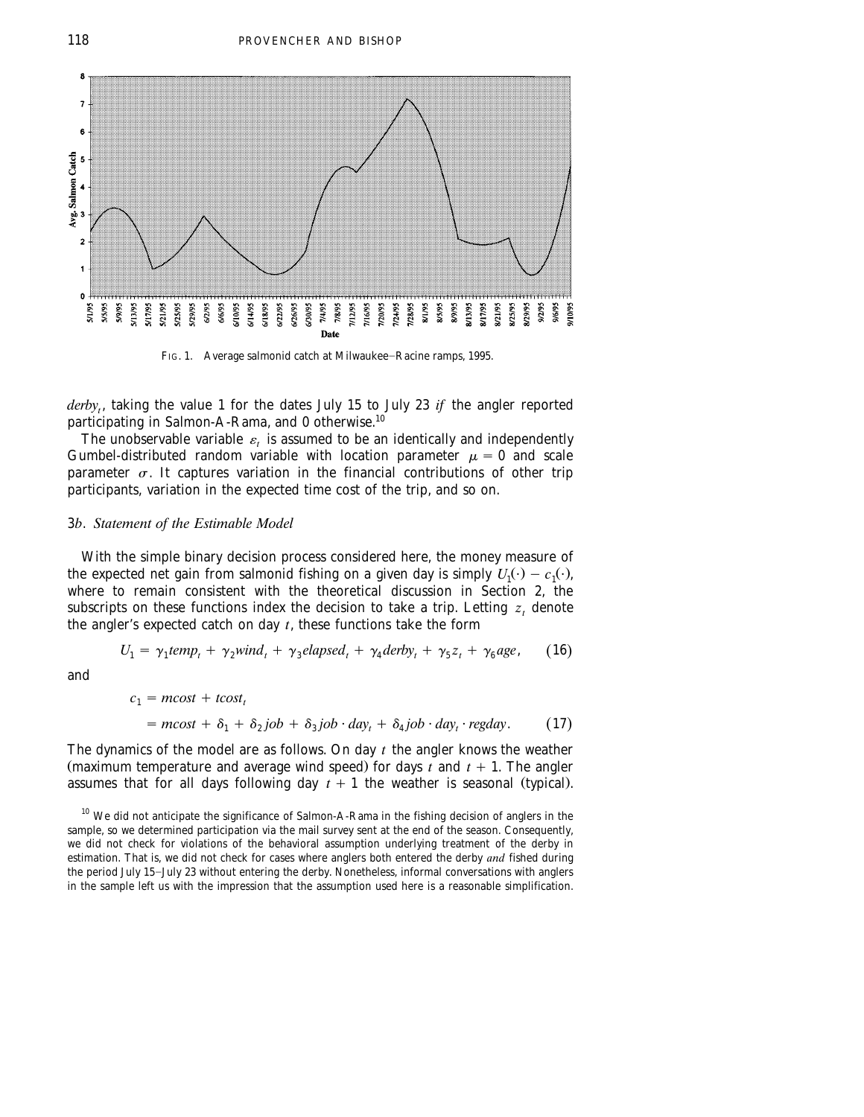

FIG. 1. Average salmonid catch at Milwaukee-Racine ramps, 1995.

 $derby_t$ , taking the value 1 for the dates July 15 to July 23 *if* the angler reported participating in Salmon-A-Rama, and  $0$  otherwise.<sup>10</sup>

The unobservable variable  $\varepsilon_t$  is assumed to be an identically and independently Gumbel-distributed random variable with location parameter  $\mu = 0$  and scale parameter  $\sigma$ . It captures variation in the financial contributions of other trip participants, variation in the expected time cost of the trip, and so on.

#### 3*b*. *Statement of the Estimable Model*

With the simple binary decision process considered here, the money measure of the expected net gain from salmonid fishing on a given day is simply  $U_1(\cdot) - c_1(\cdot)$ , where to remain consistent with the theoretical discussion in Section 2, the subscripts on these functions index the decision to take a trip. Letting  $z_t$  denote the angler's expected catch on day *t*, these functions take the form

$$
U_1 = \gamma_1 \text{temp}_t + \gamma_2 \text{wind}_t + \gamma_3 \text{elapsed}_t + \gamma_4 \text{derby}_t + \gamma_5 z_t + \gamma_6 \text{age}, \qquad (16)
$$

and

$$
c_1 = m\cos t + t\cos t_t
$$
  
=  $m\cos t + \delta_1 + \delta_2 \, job + \delta_3 \, job \cdot day_t + \delta_4 \, job \cdot day_t \cdot regday.$  (17)

The dynamics of the model are as follows. On day *t* the angler knows the weather (maximum temperature and average wind speed) for days  $t$  and  $t + 1$ . The angler assumes that for all days following day  $t + 1$  the weather is seasonal (typical).

<sup>10</sup> We did not anticipate the significance of Salmon-A-Rama in the fishing decision of anglers in the sample, so we determined participation via the mail survey sent at the end of the season. Consequently, we did not check for violations of the behavioral assumption underlying treatment of the derby in estimation. That is, we did not check for cases where anglers both entered the derby *and* fished during the period July 15-July 23 without entering the derby. Nonetheless, informal conversations with anglers in the sample left us with the impression that the assumption used here is a reasonable simplification.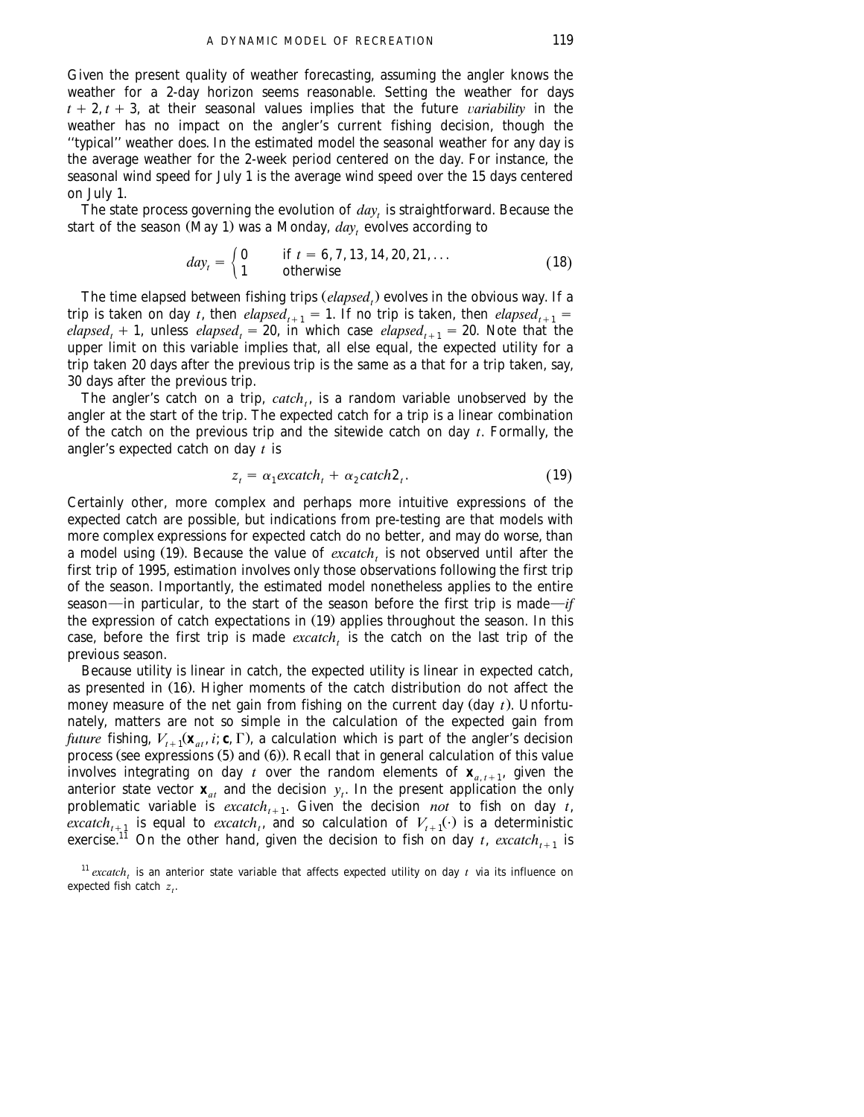Given the present quality of weather forecasting, assuming the angler knows the weather for a 2-day horizon seems reasonable. Setting the weather for days  $t + 2$ ,  $t + 3$ , at their seasonal values implies that the future *variability* in the weather has no impact on the angler's current fishing decision, though the ''typical'' weather does. In the estimated model the seasonal weather for any day is the average weather for the 2-week period centered on the day. For instance, the seasonal wind speed for July 1 is the average wind speed over the 15 days centered on July 1.

The state process governing the evolution of  $day_t$  is straightforward. Because the start of the season (May 1) was a Monday,  $day_t$  evolves according to

$$
day_t = \begin{cases} 0 & \text{if } t = 6, 7, 13, 14, 20, 21, \dots \\ 1 & \text{otherwise} \end{cases}
$$
 (18)

The time elapsed between fishing trips (*elapsed*,) evolves in the obvious way. If a trip is taken on day *t*, then *elapsed*<sub> $t+1$ </sub> = 1. If no trip is taken, then *elapsed*<sub> $t+1$ </sub> = *elapsed*, + 1, unless *elapsed*, = 20, in which case *elapsed*<sub>t+1</sub> = 20. Note that the upper limit on this variable implies that, all else equal, the expected utility for a trip taken 20 days after the previous trip is the same as a that for a trip taken, say, 30 days after the previous trip.

The angler's catch on a trip, *catch*, is a random variable unobserved by the angler at the start of the trip. The expected catch for a trip is a linear combination of the catch on the previous trip and the sitewide catch on day *t*. Formally, the angler's expected catch on day *t* is

$$
z_t = \alpha_1 \text{exact} h_t + \alpha_2 \text{catch} 2_t. \tag{19}
$$

Certainly other, more complex and perhaps more intuitive expressions of the expected catch are possible, but indications from pre-testing are that models with more complex expressions for expected catch do no better, and may do worse, than a model using (19). Because the value of *excatch*, is not observed until after the first trip of 1995, estimation involves only those observations following the first trip of the season. Importantly, the estimated model nonetheless applies to the entire season—in particular, to the start of the season before the first trip is made—*if* the expression of catch expectations in (19) applies throughout the season. In this case, before the first trip is made  $\alpha$ *excatch*, is the catch on the last trip of the previous season.

Because utility is linear in catch, the expected utility is linear in expected catch, as presented in  $(16)$ . Higher moments of the catch distribution do not affect the money measure of the net gain from fishing on the current day  $(\text{day } t)$ . Unfortunately, matters are not so simple in the calculation of the expected gain from *future* fishing,  $V_{t+1}(\mathbf{x}_{at}, i; \mathbf{c}, \Gamma)$ , a calculation which is part of the angler's decision process (see expressions  $(5)$  and  $(6)$ ). Recall that in general calculation of this value involves integrating on day *t* over the random elements of  $\mathbf{x}_{a,t+1}$ , given the anterior state vector  $\mathbf{x}_{at}$  and the decision  $y_t$ . In the present application the only problematic variable is *excatch*<sub> $t+1$ </sub>. Given the decision *not* to fish on day *t*, *excatch*<sub>t+1</sub> is equal to *excatch*, and so calculation of  $V_{t+1}(\cdot)$  is a deterministic exercise.<sup>11</sup> On the other hand, given the decision to fish on day *t*, *excatch*<sub>t+1</sub> is

<sup>&</sup>lt;sup>11</sup> *excatch<sub>t</sub>* is an anterior state variable that affects expected utility on day  $t$  via its influence on expected fish catch  $z_t$ .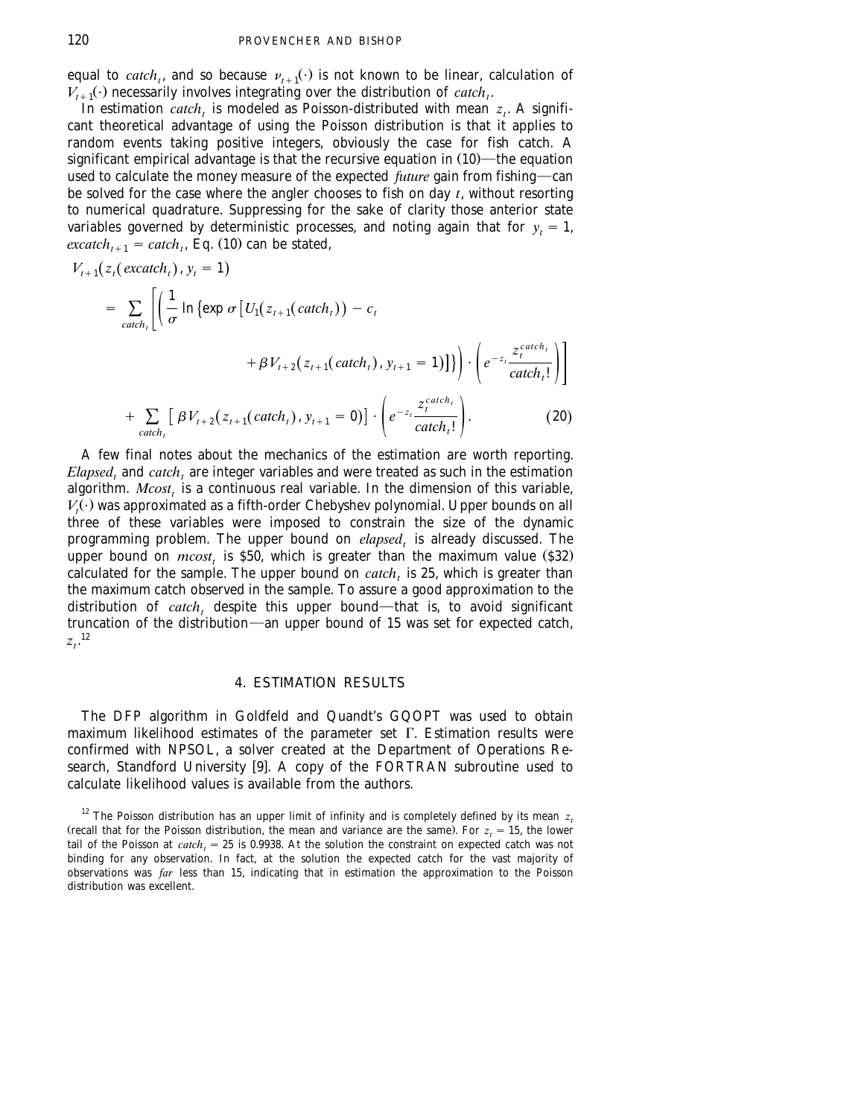equal to *catch<sub>i</sub>*, and so because  $v_{t+1}(\cdot)$  is not known to be linear, calculation of  $V_{t+1}(\cdot)$  necessarily involves integrating over the distribution of *catch*.

In estimation *catch*, is modeled as Poisson-distributed with mean  $z_t$ . A significant theoretical advantage of using the Poisson distribution is that it applies to random events taking positive integers, obviously the case for fish catch. A significant empirical advantage is that the recursive equation in  $(10)$ —the equation used to calculate the money measure of the expected  $\hat{f}$ *uture* gain from fishing—can be solved for the case where the angler chooses to fish on day  $t$ , without resorting to numerical quadrature. Suppressing for the sake of clarity those anterior state variables governed by deterministic processes, and noting again that for  $y_t = 1$ ,  $\vec{r}$  *excatch*  $\vec{r}$  = *catch*  $\vec{r}$ , Eq. (10) can be stated,

$$
V_{t+1}(z_t(excatch_t), y_t = 1)
$$
  
= 
$$
\sum_{catch_t} \left[ \left( \frac{1}{\sigma} \ln \{ \exp \sigma \left[ U_1(z_{t+1}(catch_t)) - c_t + \beta V_{t+2}(z_{t+1}(catch_t), y_{t+1} = 1) \right] \} \right) \cdot \left( e^{-z_t} \frac{z_t^{catch_t}}{catch_t!} \right) \right]
$$
  
+ 
$$
\sum_{catch_t} \left[ \beta V_{t+2}(z_{t+1}(catch_t), y_{t+1} = 0) \right] \cdot \left( e^{-z_t} \frac{z_t^{catch_t}}{catch_t!} \right).
$$
 (20)

A few final notes about the mechanics of the estimation are worth reporting.  $Elapsed_t$  and  $catch_t$  are integer variables and were treated as such in the estimation algorithm. *Mcost*, is a continuous real variable. In the dimension of this variable,  $V_t(\cdot)$  was approximated as a fifth-order Chebyshev polynomial. Upper bounds on all three of these variables were imposed to constrain the size of the dynamic programming problem. The upper bound on *elapsed*, is already discussed. The upper bound on  $mcost_t$ , is \$50, which is greater than the maximum value  $($ \$32 $)$ calculated for the sample. The upper bound on  $catch_t$ , is 25, which is greater than the maximum catch observed in the sample. To assure a good approximation to the distribution of *catch*, despite this upper bound—that is, to avoid significant truncation of the distribution—an upper bound of 15 was set for expected catch,  $z_{t}$ <sup>12</sup>

### 4. ESTIMATION RESULTS

The DFP algorithm in Goldfeld and Quandt's GQOPT was used to obtain maximum likelihood estimates of the parameter set  $\Gamma$ . Estimation results were confirmed with NPSOL, a solver created at the Department of Operations Research, Standford University [9]. A copy of the FORTRAN subroutine used to calculate likelihood values is available from the authors.

<sup>&</sup>lt;sup>12</sup> The Poisson distribution has an upper limit of infinity and is completely defined by its mean  $z<sub>t</sub>$ (recall that for the Poisson distribution, the mean and variance are the same). For  $z<sub>t</sub> = 15$ , the lower tail of the Poisson at *catch*,  $= 25$  is 0.9938. At the solution the constraint on expected catch was not binding for any observation. In fact, at the solution the expected catch for the vast majority of observations was *far* less than 15, indicating that in estimation the approximation to the Poisson distribution was excellent.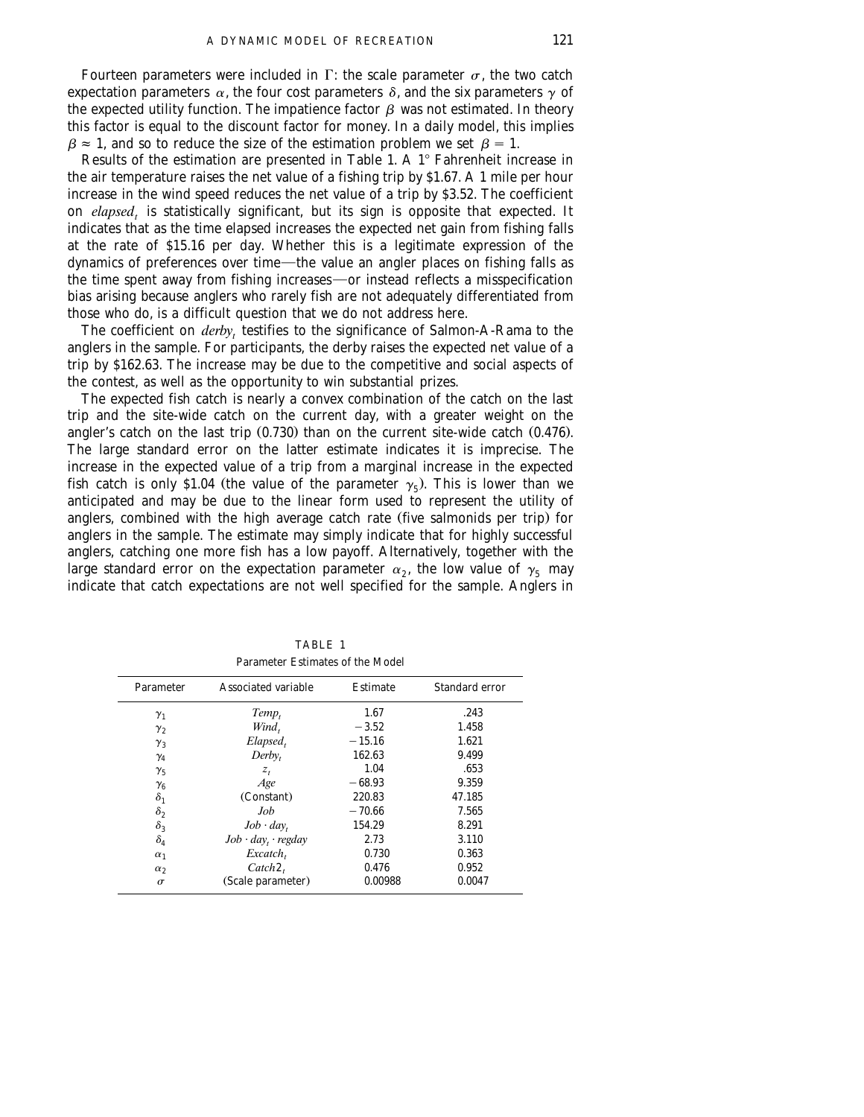Fourteen parameters were included in  $\Gamma$ : the scale parameter  $\sigma$ , the two catch expectation parameters  $\alpha$ , the four cost parameters  $\delta$ , and the six parameters  $\gamma$  of the expected utility function. The impatience factor  $\beta$  was not estimated. In theory this factor is equal to the discount factor for money. In a daily model, this implies  $\beta \approx 1$ , and so to reduce the size of the estimation problem we set  $\beta = 1$ .

Results of the estimation are presented in Table 1. A  $1^\circ$  Fahrenheit increase in the air temperature raises the net value of a fishing trip by \$1.67. A 1 mile per hour increase in the wind speed reduces the net value of a trip by \$3.52. The coefficient on *elapsed*, is statistically significant, but its sign is opposite that expected. It indicates that as the time elapsed increases the expected net gain from fishing falls at the rate of \$15.16 per day. Whether this is a legitimate expression of the dynamics of preferences over time—the value an angler places on fishing falls as the time spent away from fishing increases—or instead reflects a misspecification bias arising because anglers who rarely fish are not adequately differentiated from those who do, is a difficult question that we do not address here.

The coefficient on  $derby_t$  testifies to the significance of Salmon-A-Rama to the anglers in the sample. For participants, the derby raises the expected net value of a trip by \$162.63. The increase may be due to the competitive and social aspects of the contest, as well as the opportunity to win substantial prizes.

The expected fish catch is nearly a convex combination of the catch on the last trip and the site-wide catch on the current day, with a greater weight on the angler's catch on the last trip  $(0.730)$  than on the current site-wide catch  $(0.476)$ . The large standard error on the latter estimate indicates it is imprecise. The increase in the expected value of a trip from a marginal increase in the expected fish catch is only \$1.04 (the value of the parameter  $\gamma_5$ ). This is lower than we anticipated and may be due to the linear form used to represent the utility of anglers, combined with the high average catch rate (five salmonids per trip) for anglers in the sample. The estimate may simply indicate that for highly successful anglers, catching one more fish has a low payoff. Alternatively, together with the large standard error on the expectation parameter  $\alpha_2$ , the low value of  $\gamma_5$  may indicate that catch expectations are not well specified for the sample. Anglers in

| Parameter             | Associated variable          | Estimate | Standard error |
|-----------------------|------------------------------|----------|----------------|
| $\gamma_1$            | $Temp_t$                     | 1.67     | .243           |
| $\gamma_{2}$          | Wind,                        | $-3.52$  | 1.458          |
| $\gamma_3$            | Elapsed,                     | $-15.16$ | 1.621          |
| $\gamma_4$            | Derby,                       | 162.63   | 9.499          |
| $\gamma_5$            | $z_{t}$                      | 1.04     | .653           |
| $\gamma_6$            | Age                          | $-68.93$ | 9.359          |
| $\delta_1$            | (Constant)                   | 220.83   | 47.185         |
| $\delta_2$            | Job                          | $-70.66$ | 7.565          |
| $\delta_3$            | $Job \cdot day$              | 154.29   | 8.291          |
| $\delta_4$            | $Job \cdot day \cdot regday$ | 2.73     | 3.110          |
| $\alpha_1$            | Excatch,                     | 0.730    | 0.363          |
| $\alpha$ <sub>2</sub> | $\textit{Catch2},$           | 0.476    | 0.952          |
| $\sigma$              | (Scale parameter)            | 0.00988  | 0.0047         |

TABLE 1 Parameter Estimates of the Model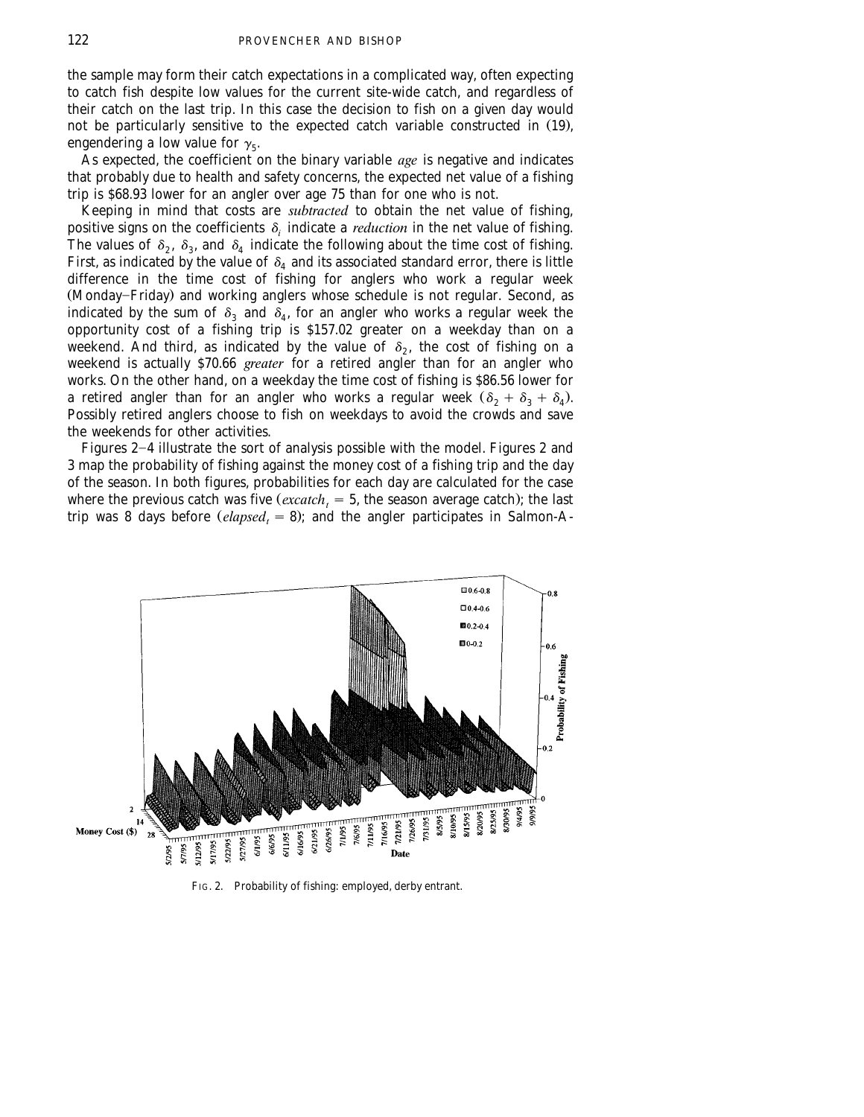the sample may form their catch expectations in a complicated way, often expecting to catch fish despite low values for the current site-wide catch, and regardless of their catch on the last trip. In this case the decision to fish on a given day would not be particularly sensitive to the expected catch variable constructed in (19), engendering a low value for  $\gamma_5$ .

As expected, the coefficient on the binary variable *age* is negative and indicates that probably due to health and safety concerns, the expected net value of a fishing trip is \$68.93 lower for an angler over age 75 than for one who is not.

Keeping in mind that costs are *subtracted* to obtain the net value of fishing, positive signs on the coefficients  $\delta_i$  indicate a *reduction* in the net value of fishing. The values of  $\delta_2$ ,  $\delta_3$ , and  $\delta_4$  indicate the following about the time cost of fishing. First, as indicated by the value of  $\delta_4$  and its associated standard error, there is little difference in the time cost of fishing for anglers who work a regular week (Monday–Friday) and working anglers whose schedule is not regular. Second, as indicated by the sum of  $\delta_3$  and  $\delta_4$ , for an angler who works a regular week the opportunity cost of a fishing trip is \$157.02 greater on a weekday than on a weekend. And third, as indicated by the value of  $\delta_2$ , the cost of fishing on a weekend is actually \$70.66 *greater* for a retired angler than for an angler who works. On the other hand, on a weekday the time cost of fishing is \$86.56 lower for a retired angler than for an angler who works a regular week  $(\delta_2 + \delta_3 + \delta_4)$ . Possibly retired anglers choose to fish on weekdays to avoid the crowds and save the weekends for other activities.

Figures 2-4 illustrate the sort of analysis possible with the model. Figures 2 and 3 map the probability of fishing against the money cost of a fishing trip and the day of the season. In both figures, probabilities for each day are calculated for the case where the previous catch was five  $(excatch = 5$ , the season average catch); the last trip was 8 days before  $(elapseed, = 8)$ ; and the angler participates in Salmon-A-



FIG. 2. Probability of fishing: employed, derby entrant.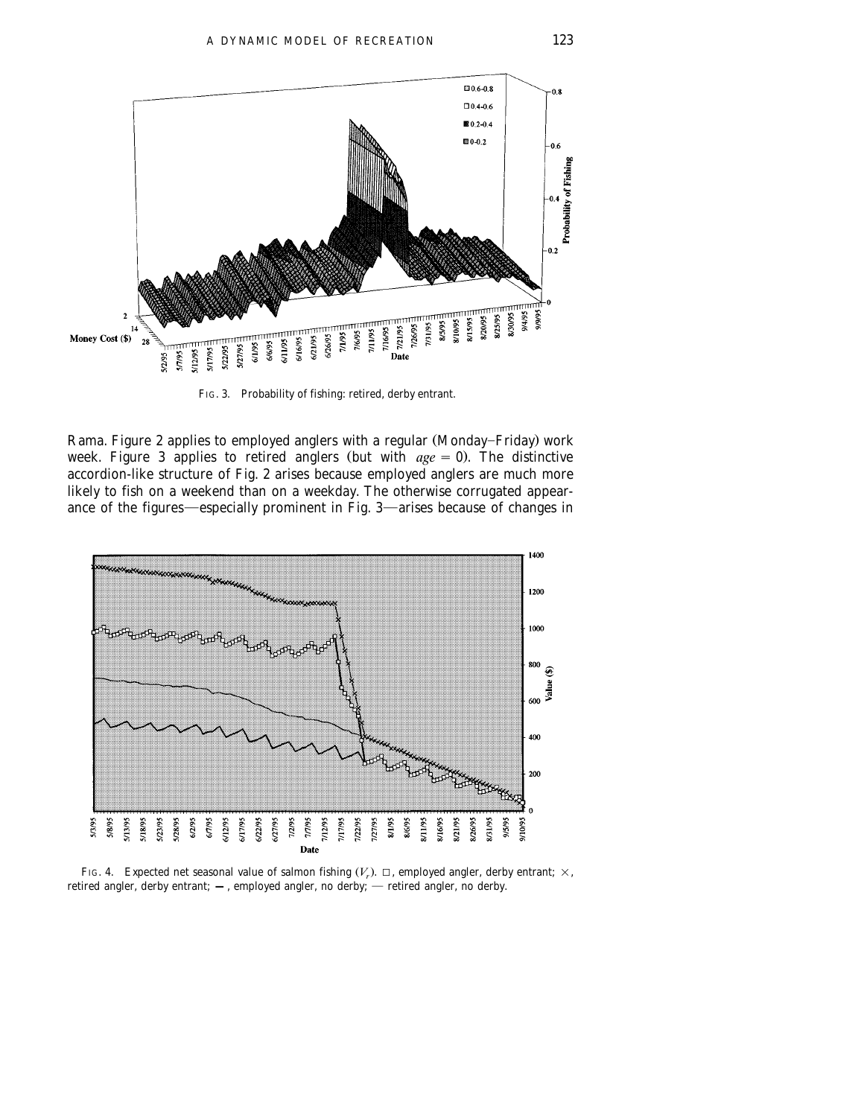

FIG. 3. Probability of fishing: retired, derby entrant.

Rama. Figure 2 applies to employed anglers with a regular (Monday–Friday) work week. Figure 3 applies to retired anglers (but with  $age = 0$ ). The distinctive accordion-like structure of Fig. 2 arises because employed anglers are much more likely to fish on a weekend than on a weekday. The otherwise corrugated appearance of the figures—especially prominent in Fig. 3—arises because of changes in



FIG. 4. Expected net seasonal value of salmon fishing  $(V_r)$ .  $\Box$ , employed angler, derby entrant;  $\times$ , retired angler, derby entrant;  $-$ , employed angler, no derby;  $-$  retired angler, no derby.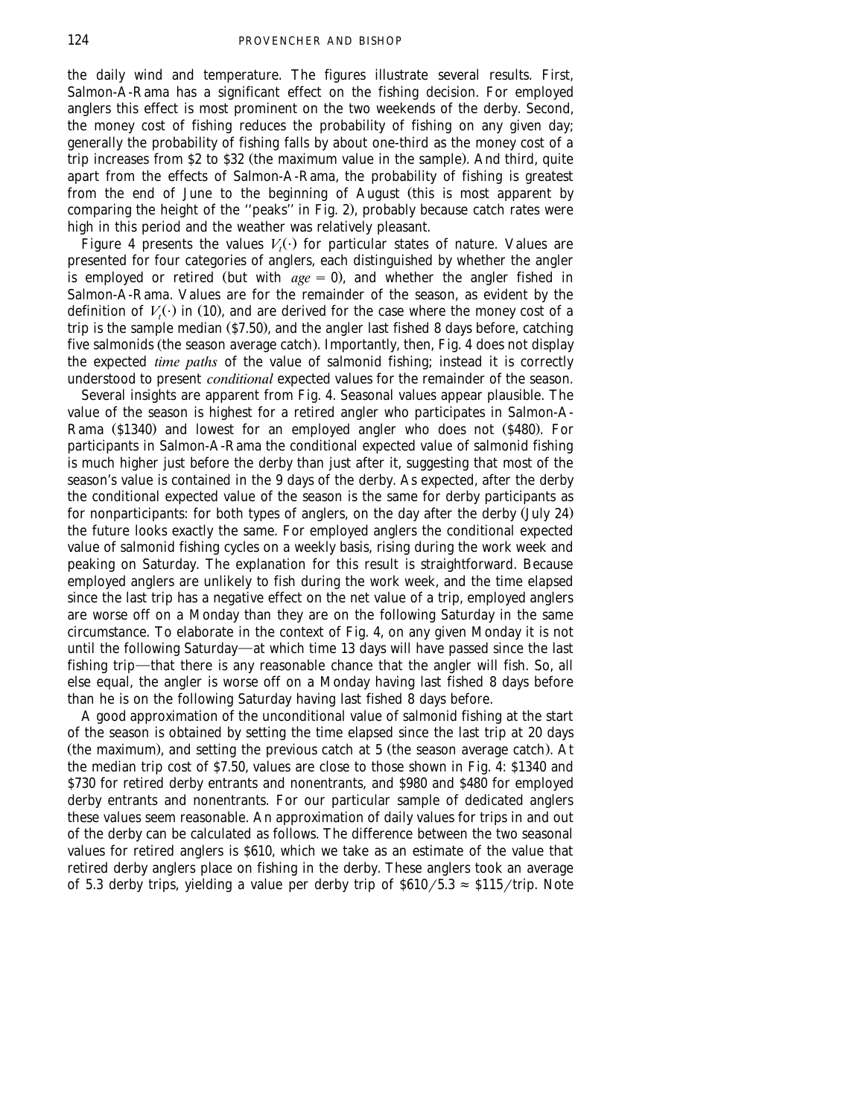the daily wind and temperature. The figures illustrate several results. First, Salmon-A-Rama has a significant effect on the fishing decision. For employed anglers this effect is most prominent on the two weekends of the derby. Second, the money cost of fishing reduces the probability of fishing on any given day; generally the probability of fishing falls by about one-third as the money cost of a trip increases from \$2 to \$32 (the maximum value in the sample). And third, quite apart from the effects of Salmon-A-Rama, the probability of fishing is greatest from the end of June to the beginning of August (this is most apparent by comparing the height of the "peaks" in Fig. 2), probably because catch rates were high in this period and the weather was relatively pleasant.

Figure 4 presents the values  $V(x)$  for particular states of nature. Values are presented for four categories of anglers, each distinguished by whether the angler is employed or retired (but with  $age = 0$ ), and whether the angler fished in Salmon-A-Rama. Values are for the remainder of the season, as evident by the definition of  $V_t(\cdot)$  in (10), and are derived for the case where the money cost of a trip is the sample median  $(57.50)$ , and the angler last fished 8 days before, catching five salmonids (the season average catch). Importantly, then, Fig. 4 does not display the expected *time paths* of the value of salmonid fishing; instead it is correctly understood to present *conditional* expected values for the remainder of the season.

Several insights are apparent from Fig. 4. Seasonal values appear plausible. The value of the season is highest for a retired angler who participates in Salmon-A-Rama (\$1340) and lowest for an employed angler who does not (\$480). For participants in Salmon-A-Rama the conditional expected value of salmonid fishing is much higher just before the derby than just after it, suggesting that most of the season's value is contained in the 9 days of the derby. As expected, after the derby the conditional expected value of the season is the same for derby participants as for nonparticipants: for both types of anglers, on the day after the derby  $\overrightarrow{J}$ uly 24) the future looks exactly the same. For employed anglers the conditional expected value of salmonid fishing cycles on a weekly basis, rising during the work week and peaking on Saturday. The explanation for this result is straightforward. Because employed anglers are unlikely to fish during the work week, and the time elapsed since the last trip has a negative effect on the net value of a trip, employed anglers are worse off on a Monday than they are on the following Saturday in the same circumstance. To elaborate in the context of Fig. 4, on any given Monday it is not until the following Saturday—at which time 13 days will have passed since the last fishing trip-that there is any reasonable chance that the angler will fish. So, all else equal, the angler is worse off on a Monday having last fished 8 days before than he is on the following Saturday having last fished 8 days before.

A good approximation of the unconditional value of salmonid fishing at the start of the season is obtained by setting the time elapsed since the last trip at 20 days (the maximum), and setting the previous catch at  $5$  (the season average catch). At the median trip cost of \$7.50, values are close to those shown in Fig. 4: \$1340 and \$730 for retired derby entrants and nonentrants, and \$980 and \$480 for employed derby entrants and nonentrants. For our particular sample of dedicated anglers these values seem reasonable. An approximation of daily values for trips in and out of the derby can be calculated as follows. The difference between the two seasonal values for retired anglers is \$610, which we take as an estimate of the value that retired derby anglers place on fishing in the derby. These anglers took an average of 5.3 derby trips, yielding a value per derby trip of  $\frac{610}{5.3} \approx \frac{115}{\text{trip}}$ . Note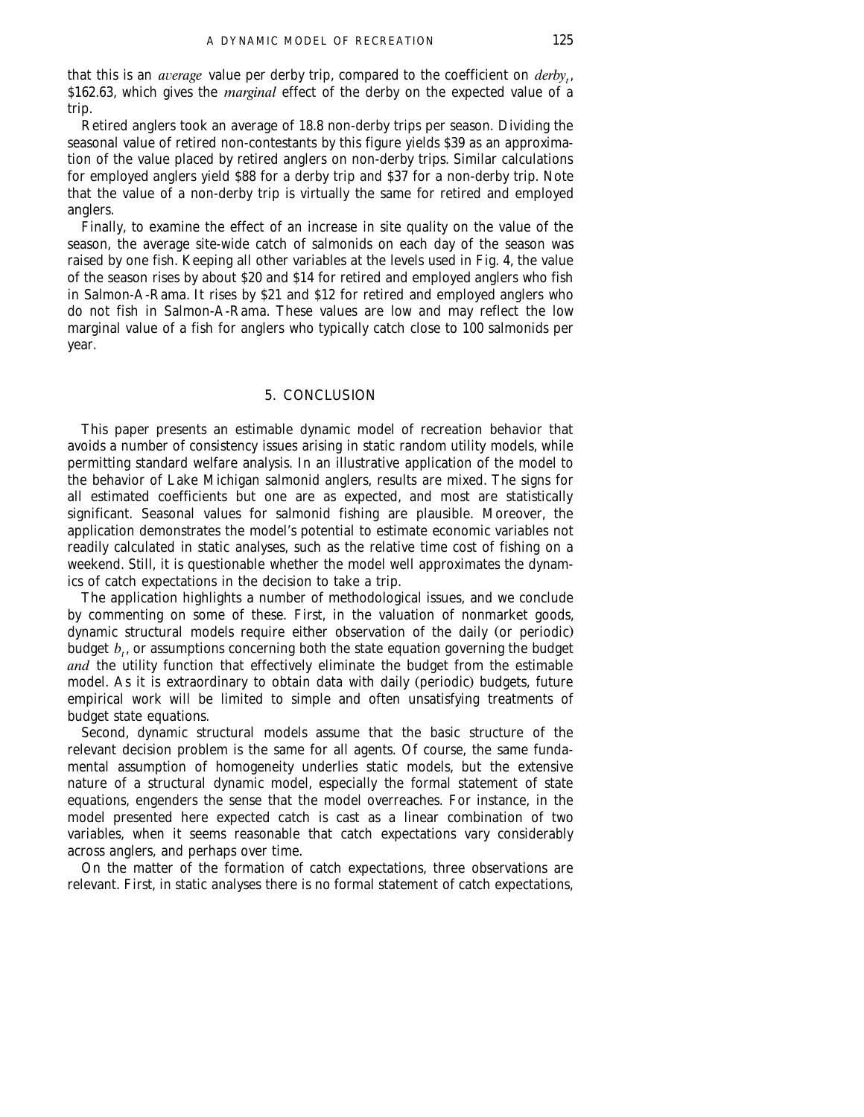that this is an *average* value per derby trip, compared to the coefficient on *derby*, \$162.63, which gives the *marginal* effect of the derby on the expected value of a trip.

Retired anglers took an average of 18.8 non-derby trips per season. Dividing the seasonal value of retired non-contestants by this figure yields \$39 as an approximation of the value placed by retired anglers on non-derby trips. Similar calculations for employed anglers yield \$88 for a derby trip and \$37 for a non-derby trip. Note that the value of a non-derby trip is virtually the same for retired and employed anglers.

Finally, to examine the effect of an increase in site quality on the value of the season, the average site-wide catch of salmonids on each day of the season was raised by one fish. Keeping all other variables at the levels used in Fig. 4, the value of the season rises by about \$20 and \$14 for retired and employed anglers who fish in Salmon-A-Rama. It rises by \$21 and \$12 for retired and employed anglers who do not fish in Salmon-A-Rama. These values are low and may reflect the low marginal value of a fish for anglers who typically catch close to 100 salmonids per year.

## 5. CONCLUSION

This paper presents an estimable dynamic model of recreation behavior that avoids a number of consistency issues arising in static random utility models, while permitting standard welfare analysis. In an illustrative application of the model to the behavior of Lake Michigan salmonid anglers, results are mixed. The signs for all estimated coefficients but one are as expected, and most are statistically significant. Seasonal values for salmonid fishing are plausible. Moreover, the application demonstrates the model's potential to estimate economic variables not readily calculated in static analyses, such as the relative time cost of fishing on a weekend. Still, it is questionable whether the model well approximates the dynamics of catch expectations in the decision to take a trip.

The application highlights a number of methodological issues, and we conclude by commenting on some of these. First, in the valuation of nonmarket goods, dynamic structural models require either observation of the daily (or periodic) budget *b*, or assumptions concerning both the state equation governing the budget *and* the utility function that effectively eliminate the budget from the estimable model. As it is extraordinary to obtain data with daily (periodic) budgets, future empirical work will be limited to simple and often unsatisfying treatments of budget state equations.

Second, dynamic structural models assume that the basic structure of the relevant decision problem is the same for all agents. Of course, the same fundamental assumption of homogeneity underlies static models, but the extensive nature of a structural dynamic model, especially the formal statement of state equations, engenders the sense that the model overreaches. For instance, in the model presented here expected catch is cast as a linear combination of two variables, when it seems reasonable that catch expectations vary considerably across anglers, and perhaps over time.

On the matter of the formation of catch expectations, three observations are relevant. First, in static analyses there is no formal statement of catch expectations,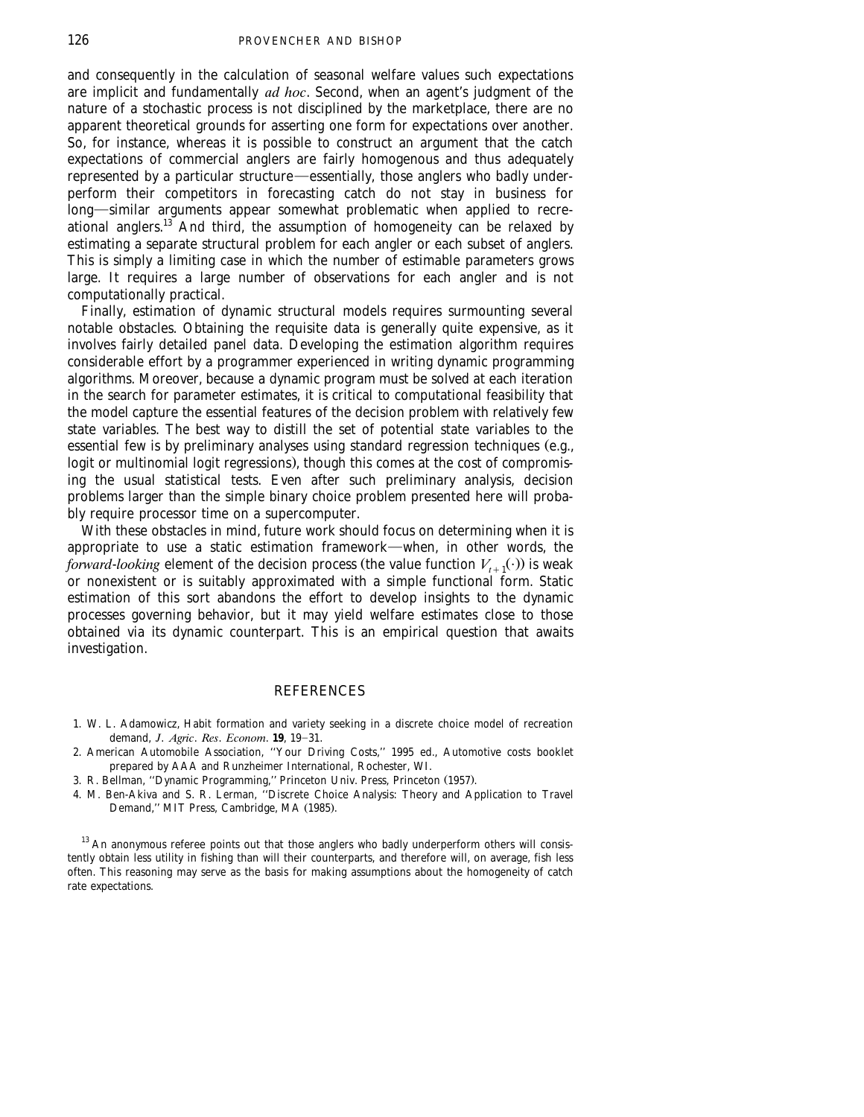and consequently in the calculation of seasonal welfare values such expectations are implicit and fundamentally *ad hoc*. Second, when an agent's judgment of the nature of a stochastic process is not disciplined by the marketplace, there are no apparent theoretical grounds for asserting one form for expectations over another. So, for instance, whereas it is possible to construct an argument that the catch expectations of commercial anglers are fairly homogenous and thus adequately represented by a particular structure—essentially, those anglers who badly underperform their competitors in forecasting catch do not stay in business for long—similar arguments appear somewhat problematic when applied to recreational anglers. $13$  And third, the assumption of homogeneity can be relaxed by estimating a separate structural problem for each angler or each subset of anglers. This is simply a limiting case in which the number of estimable parameters grows large. It requires a large number of observations for each angler and is not computationally practical.

Finally, estimation of dynamic structural models requires surmounting several notable obstacles. Obtaining the requisite data is generally quite expensive, as it involves fairly detailed panel data. Developing the estimation algorithm requires considerable effort by a programmer experienced in writing dynamic programming algorithms. Moreover, because a dynamic program must be solved at each iteration in the search for parameter estimates, it is critical to computational feasibility that the model capture the essential features of the decision problem with relatively few state variables. The best way to distill the set of potential state variables to the essential few is by preliminary analyses using standard regression techniques (e.g., logit or multinomial logit regressions), though this comes at the cost of compromising the usual statistical tests. Even after such preliminary analysis, decision problems larger than the simple binary choice problem presented here will probably require processor time on a supercomputer.

With these obstacles in mind, future work should focus on determining when it is appropriate to use a static estimation framework—when, in other words, the *forward-looking* element of the decision process (the value function  $V_{t+1}(\cdot)$ ) is weak or nonexistent or is suitably approximated with a simple functional form. Static estimation of this sort abandons the effort to develop insights to the dynamic processes governing behavior, but it may yield welfare estimates close to those obtained via its dynamic counterpart. This is an empirical question that awaits investigation.

# REFERENCES

- 1. W. L. Adamowicz, Habit formation and variety seeking in a discrete choice model of recreation demand, *J. Agric. Res. Econom*. 19, 19-31.
- 2. American Automobile Association, ''Your Driving Costs,'' 1995 ed., Automotive costs booklet prepared by AAA and Runzheimer International, Rochester, WI.
- 3. R. Bellman, "Dynamic Programming," Princeton Univ. Press, Princeton (1957).
- 4. M. Ben-Akiva and S. R. Lerman, ''Discrete Choice Analysis: Theory and Application to Travel Demand," MIT Press, Cambridge, MA (1985).

 $13$  An anonymous referee points out that those anglers who badly underperform others will consistently obtain less utility in fishing than will their counterparts, and therefore will, on average, fish less often. This reasoning may serve as the basis for making assumptions about the homogeneity of catch rate expectations.